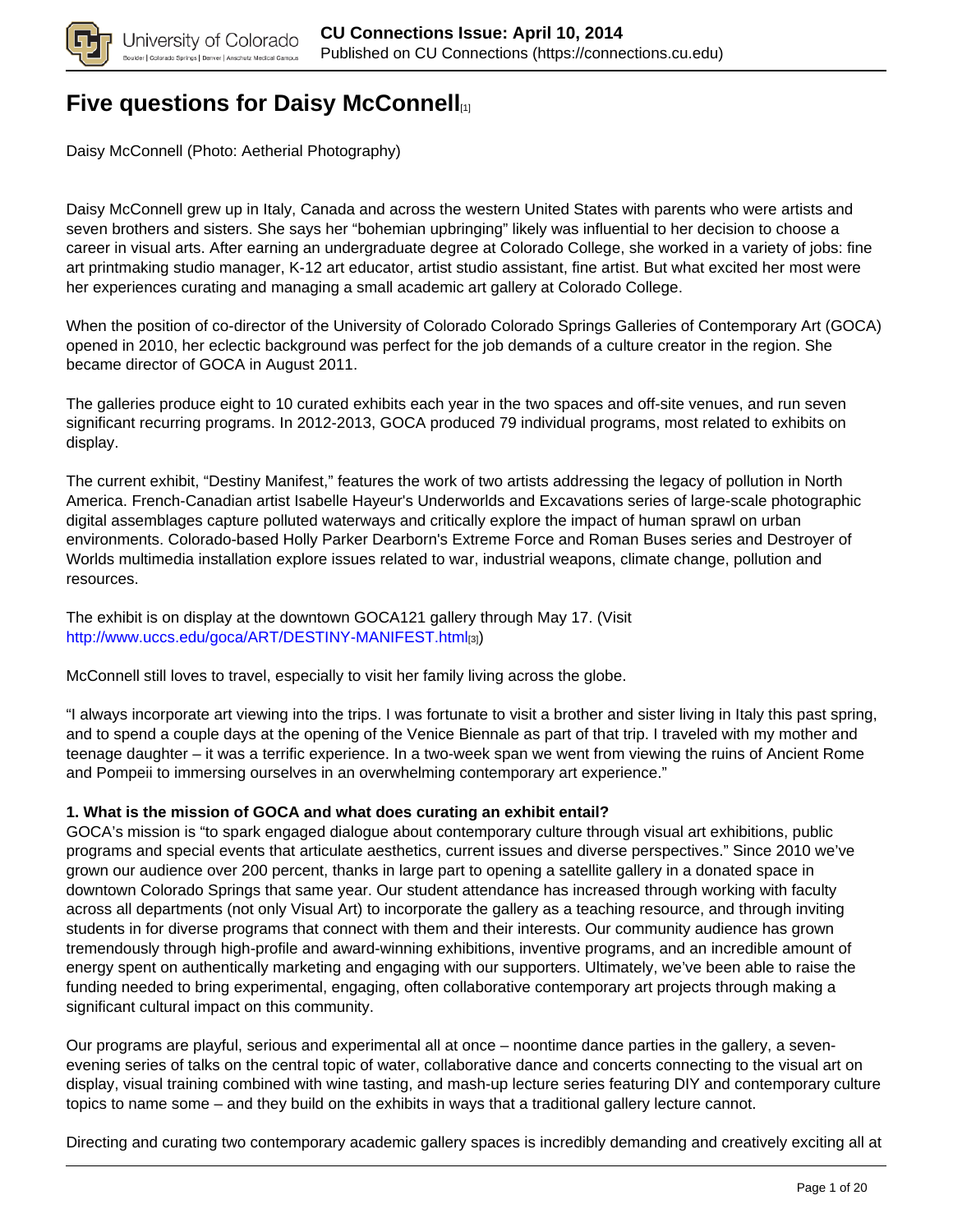

# **[Five questions for Daisy McConnell](https://connections.cu.edu/stories/five-questions-daisy-mcconnell)**<sub>[1]</sub>

Daisy McConnell (Photo: Aetherial Photography)

Daisy McConnell grew up in Italy, Canada and across the western United States with parents who were artists and seven brothers and sisters. She says her "bohemian upbringing" likely was influential to her decision to choose a career in visual arts. After earning an undergraduate degree at Colorado College, she worked in a variety of jobs: fine art printmaking studio manager, K-12 art educator, artist studio assistant, fine artist. But what excited her most were her experiences curating and managing a small academic art gallery at Colorado College.

When the position of co-director of the University of Colorado Colorado Springs Galleries of Contemporary Art (GOCA) opened in 2010, her eclectic background was perfect for the job demands of a culture creator in the region. She became director of GOCA in August 2011.

The galleries produce eight to 10 curated exhibits each year in the two spaces and off-site venues, and run seven significant recurring programs. In 2012-2013, GOCA produced 79 individual programs, most related to exhibits on display.

The current exhibit, "Destiny Manifest," features the work of two artists addressing the legacy of pollution in North America. French-Canadian artist Isabelle Hayeur's Underworlds and Excavations series of large-scale photographic digital assemblages capture polluted waterways and critically explore the impact of human sprawl on urban environments. Colorado-based Holly Parker Dearborn's Extreme Force and Roman Buses series and Destroyer of Worlds multimedia installation explore issues related to war, industrial weapons, climate change, pollution and resources.

The exhibit is on display at the downtown GOCA121 gallery through May 17. (Visit http://www.uccs.edu/goca/ART/DESTINY-MANIFEST.html[3])

McConnell still loves to travel, especially to visit her family living across the globe.

"I always incorporate art viewing into the trips. I was fortunate to visit a brother and sister living in Italy this past spring, and to spend a couple days at the opening of the Venice Biennale as part of that trip. I traveled with my mother and teenage daughter – it was a terrific experience. In a two-week span we went from viewing the ruins of Ancient Rome and Pompeii to immersing ourselves in an overwhelming contemporary art experience."

### **1. What is the mission of GOCA and what does curating an exhibit entail?**

GOCA's mission is "to spark engaged dialogue about contemporary culture through visual art exhibitions, public programs and special events that articulate aesthetics, current issues and diverse perspectives." Since 2010 we've grown our audience over 200 percent, thanks in large part to opening a satellite gallery in a donated space in downtown Colorado Springs that same year. Our student attendance has increased through working with faculty across all departments (not only Visual Art) to incorporate the gallery as a teaching resource, and through inviting students in for diverse programs that connect with them and their interests. Our community audience has grown tremendously through high-profile and award-winning exhibitions, inventive programs, and an incredible amount of energy spent on authentically marketing and engaging with our supporters. Ultimately, we've been able to raise the funding needed to bring experimental, engaging, often collaborative contemporary art projects through making a significant cultural impact on this community.

Our programs are playful, serious and experimental all at once – noontime dance parties in the gallery, a sevenevening series of talks on the central topic of water, collaborative dance and concerts connecting to the visual art on display, visual training combined with wine tasting, and mash-up lecture series featuring DIY and contemporary culture topics to name some – and they build on the exhibits in ways that a traditional gallery lecture cannot.

Directing and curating two contemporary academic gallery spaces is incredibly demanding and creatively exciting all at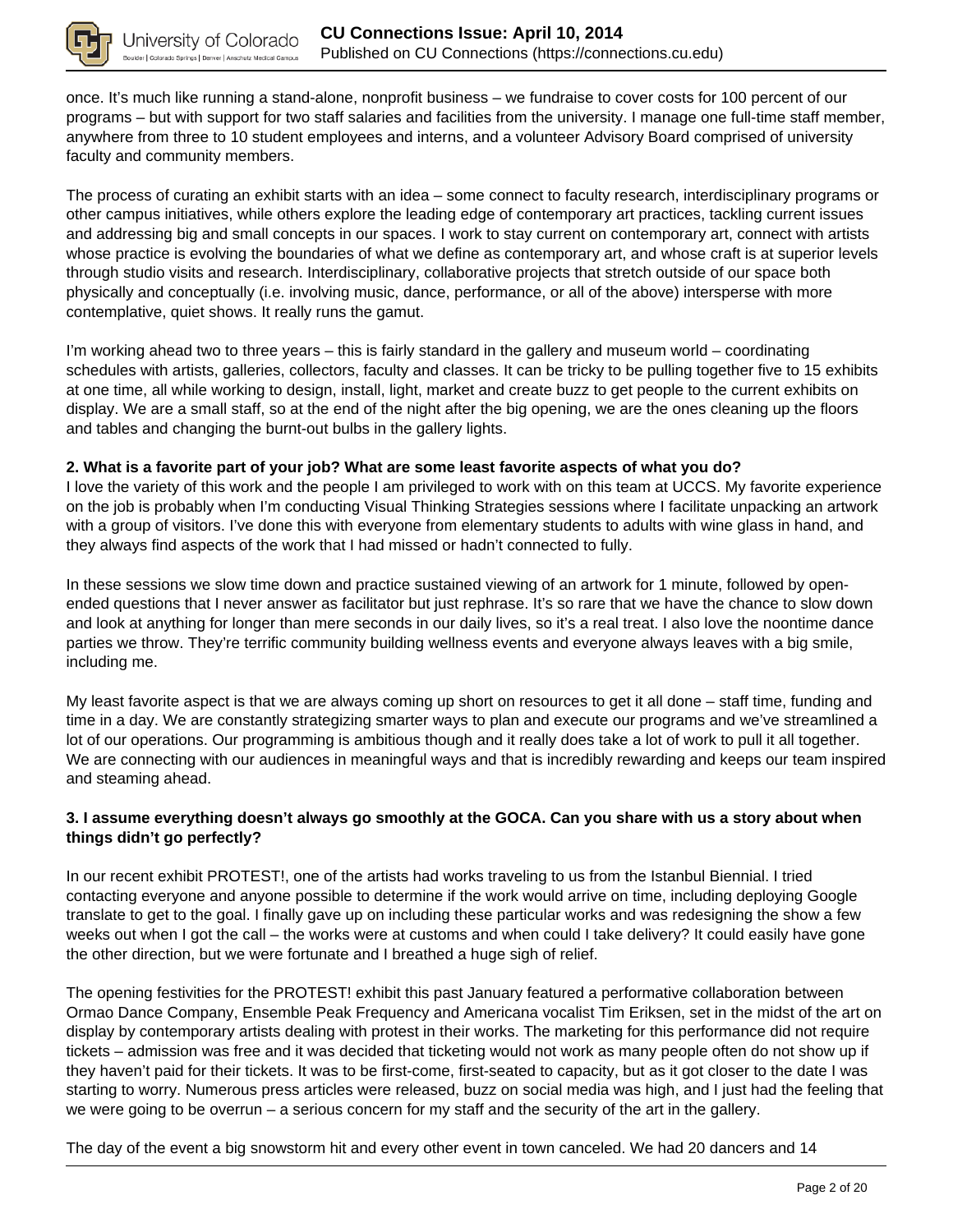

once. It's much like running a stand-alone, nonprofit business – we fundraise to cover costs for 100 percent of our programs – but with support for two staff salaries and facilities from the university. I manage one full-time staff member, anywhere from three to 10 student employees and interns, and a volunteer Advisory Board comprised of university faculty and community members.

The process of curating an exhibit starts with an idea – some connect to faculty research, interdisciplinary programs or other campus initiatives, while others explore the leading edge of contemporary art practices, tackling current issues and addressing big and small concepts in our spaces. I work to stay current on contemporary art, connect with artists whose practice is evolving the boundaries of what we define as contemporary art, and whose craft is at superior levels through studio visits and research. Interdisciplinary, collaborative projects that stretch outside of our space both physically and conceptually (i.e. involving music, dance, performance, or all of the above) intersperse with more contemplative, quiet shows. It really runs the gamut.

I'm working ahead two to three years – this is fairly standard in the gallery and museum world – coordinating schedules with artists, galleries, collectors, faculty and classes. It can be tricky to be pulling together five to 15 exhibits at one time, all while working to design, install, light, market and create buzz to get people to the current exhibits on display. We are a small staff, so at the end of the night after the big opening, we are the ones cleaning up the floors and tables and changing the burnt-out bulbs in the gallery lights.

### **2. What is a favorite part of your job? What are some least favorite aspects of what you do?**

I love the variety of this work and the people I am privileged to work with on this team at UCCS. My favorite experience on the job is probably when I'm conducting Visual Thinking Strategies sessions where I facilitate unpacking an artwork with a group of visitors. I've done this with everyone from elementary students to adults with wine glass in hand, and they always find aspects of the work that I had missed or hadn't connected to fully.

In these sessions we slow time down and practice sustained viewing of an artwork for 1 minute, followed by openended questions that I never answer as facilitator but just rephrase. It's so rare that we have the chance to slow down and look at anything for longer than mere seconds in our daily lives, so it's a real treat. I also love the noontime dance parties we throw. They're terrific community building wellness events and everyone always leaves with a big smile, including me.

My least favorite aspect is that we are always coming up short on resources to get it all done – staff time, funding and time in a day. We are constantly strategizing smarter ways to plan and execute our programs and we've streamlined a lot of our operations. Our programming is ambitious though and it really does take a lot of work to pull it all together. We are connecting with our audiences in meaningful ways and that is incredibly rewarding and keeps our team inspired and steaming ahead.

### **3. I assume everything doesn't always go smoothly at the GOCA. Can you share with us a story about when things didn't go perfectly?**

In our recent exhibit PROTEST!, one of the artists had works traveling to us from the Istanbul Biennial. I tried contacting everyone and anyone possible to determine if the work would arrive on time, including deploying Google translate to get to the goal. I finally gave up on including these particular works and was redesigning the show a few weeks out when I got the call – the works were at customs and when could I take delivery? It could easily have gone the other direction, but we were fortunate and I breathed a huge sigh of relief.

The opening festivities for the PROTEST! exhibit this past January featured a performative collaboration between Ormao Dance Company, Ensemble Peak Frequency and Americana vocalist Tim Eriksen, set in the midst of the art on display by contemporary artists dealing with protest in their works. The marketing for this performance did not require tickets – admission was free and it was decided that ticketing would not work as many people often do not show up if they haven't paid for their tickets. It was to be first-come, first-seated to capacity, but as it got closer to the date I was starting to worry. Numerous press articles were released, buzz on social media was high, and I just had the feeling that we were going to be overrun – a serious concern for my staff and the security of the art in the gallery.

The day of the event a big snowstorm hit and every other event in town canceled. We had 20 dancers and 14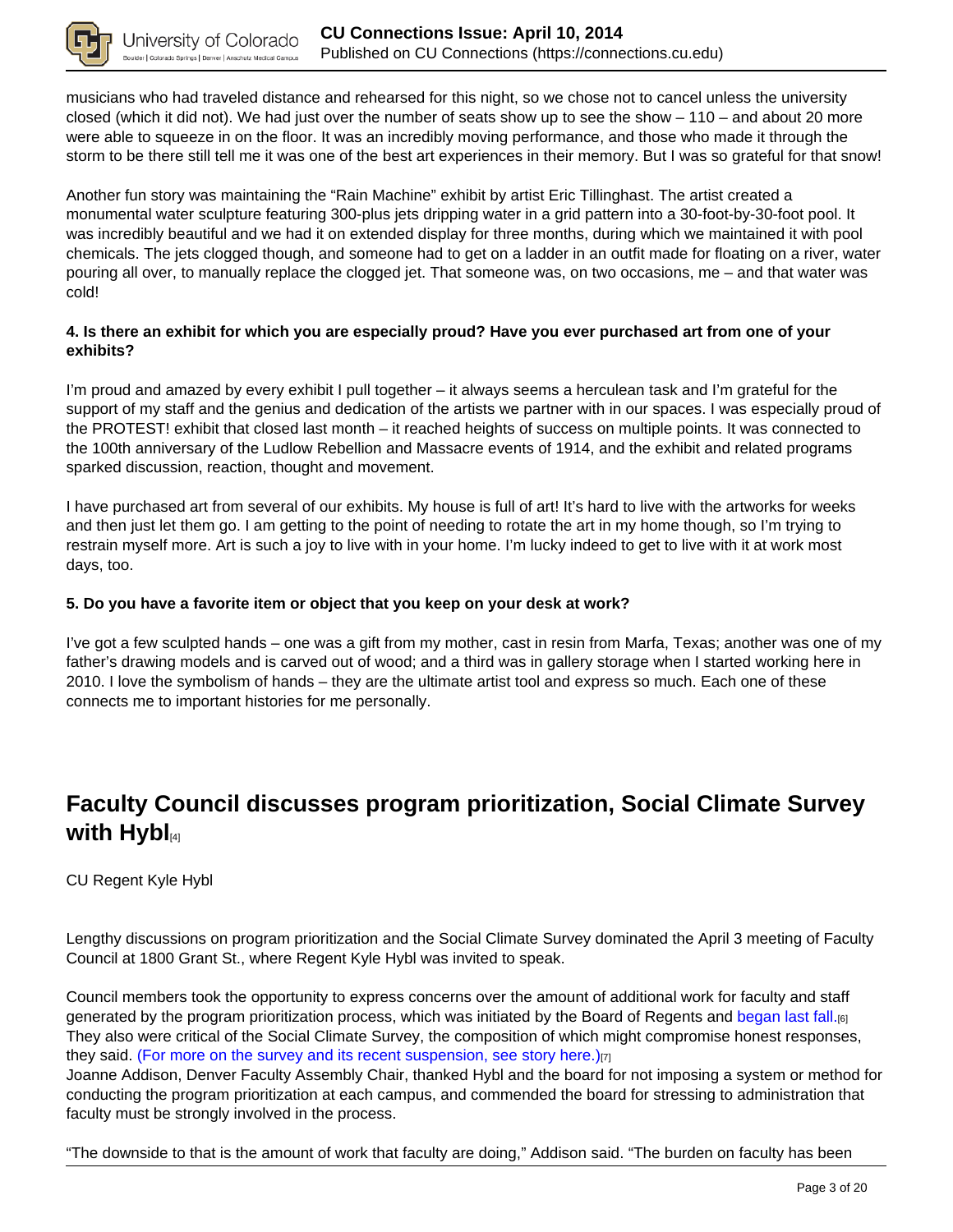

musicians who had traveled distance and rehearsed for this night, so we chose not to cancel unless the university closed (which it did not). We had just over the number of seats show up to see the show – 110 – and about 20 more were able to squeeze in on the floor. It was an incredibly moving performance, and those who made it through the storm to be there still tell me it was one of the best art experiences in their memory. But I was so grateful for that snow!

Another fun story was maintaining the "Rain Machine" exhibit by artist Eric Tillinghast. The artist created a monumental water sculpture featuring 300-plus jets dripping water in a grid pattern into a 30-foot-by-30-foot pool. It was incredibly beautiful and we had it on extended display for three months, during which we maintained it with pool chemicals. The jets clogged though, and someone had to get on a ladder in an outfit made for floating on a river, water pouring all over, to manually replace the clogged jet. That someone was, on two occasions, me – and that water was cold!

### **4. Is there an exhibit for which you are especially proud? Have you ever purchased art from one of your exhibits?**

I'm proud and amazed by every exhibit I pull together – it always seems a herculean task and I'm grateful for the support of my staff and the genius and dedication of the artists we partner with in our spaces. I was especially proud of the PROTEST! exhibit that closed last month – it reached heights of success on multiple points. It was connected to the 100th anniversary of the Ludlow Rebellion and Massacre events of 1914, and the exhibit and related programs sparked discussion, reaction, thought and movement.

I have purchased art from several of our exhibits. My house is full of art! It's hard to live with the artworks for weeks and then just let them go. I am getting to the point of needing to rotate the art in my home though, so I'm trying to restrain myself more. Art is such a joy to live with in your home. I'm lucky indeed to get to live with it at work most days, too.

### **5. Do you have a favorite item or object that you keep on your desk at work?**

I've got a few sculpted hands – one was a gift from my mother, cast in resin from Marfa, Texas; another was one of my father's drawing models and is carved out of wood; and a third was in gallery storage when I started working here in 2010. I love the symbolism of hands – they are the ultimate artist tool and express so much. Each one of these connects me to important histories for me personally.

## **Faculty Council discusses program prioritization, Social Climate Survey with Hybl**[4]

### CU Regent Kyle Hybl

Lengthy discussions on program prioritization and the Social Climate Survey dominated the April 3 meeting of Faculty Council at 1800 Grant St., where Regent Kyle Hybl was invited to speak.

Council members took the opportunity to express concerns over the amount of additional work for faculty and staff generated by the program prioritization process, which was initiated by the Board of Regents and began last fall.[6] They also were critical of the Social Climate Survey, the composition of which might compromise honest responses, they said. (For more on the survey and its recent suspension, see story here.)[7]

Joanne Addison, Denver Faculty Assembly Chair, thanked Hybl and the board for not imposing a system or method for conducting the program prioritization at each campus, and commended the board for stressing to administration that faculty must be strongly involved in the process.

"The downside to that is the amount of work that faculty are doing," Addison said. "The burden on faculty has been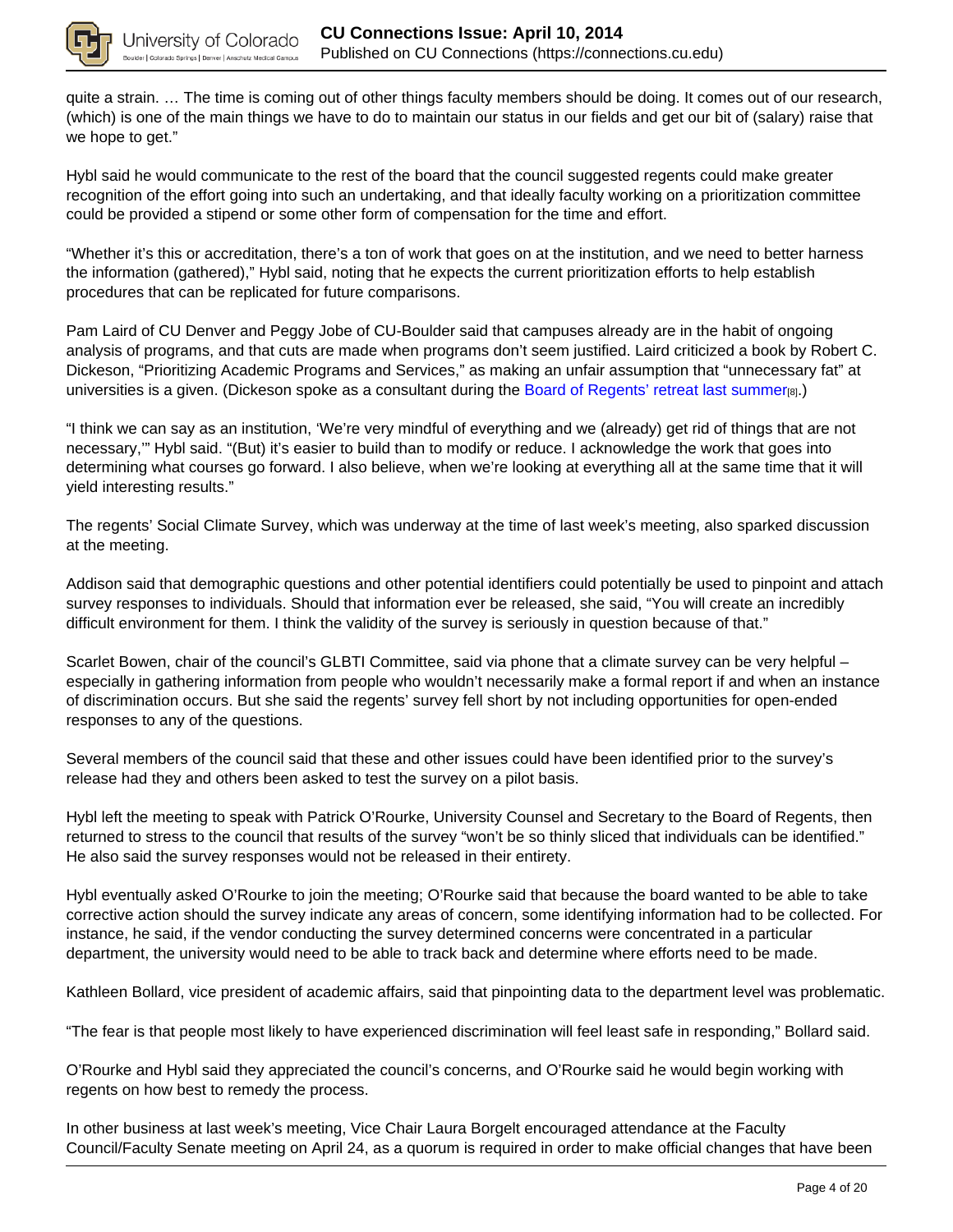

quite a strain. … The time is coming out of other things faculty members should be doing. It comes out of our research, (which) is one of the main things we have to do to maintain our status in our fields and get our bit of (salary) raise that we hope to get."

Hybl said he would communicate to the rest of the board that the council suggested regents could make greater recognition of the effort going into such an undertaking, and that ideally faculty working on a prioritization committee could be provided a stipend or some other form of compensation for the time and effort.

"Whether it's this or accreditation, there's a ton of work that goes on at the institution, and we need to better harness the information (gathered)," Hybl said, noting that he expects the current prioritization efforts to help establish procedures that can be replicated for future comparisons.

Pam Laird of CU Denver and Peggy Jobe of CU-Boulder said that campuses already are in the habit of ongoing analysis of programs, and that cuts are made when programs don't seem justified. Laird criticized a book by Robert C. Dickeson, "Prioritizing Academic Programs and Services," as making an unfair assumption that "unnecessary fat" at universities is a given. (Dickeson spoke as a consultant during the Board of Regents' retreat last summer[8].)

"I think we can say as an institution, 'We're very mindful of everything and we (already) get rid of things that are not necessary,'" Hybl said. "(But) it's easier to build than to modify or reduce. I acknowledge the work that goes into determining what courses go forward. I also believe, when we're looking at everything all at the same time that it will yield interesting results."

The regents' Social Climate Survey, which was underway at the time of last week's meeting, also sparked discussion at the meeting.

Addison said that demographic questions and other potential identifiers could potentially be used to pinpoint and attach survey responses to individuals. Should that information ever be released, she said, "You will create an incredibly difficult environment for them. I think the validity of the survey is seriously in question because of that."

Scarlet Bowen, chair of the council's GLBTI Committee, said via phone that a climate survey can be very helpful – especially in gathering information from people who wouldn't necessarily make a formal report if and when an instance of discrimination occurs. But she said the regents' survey fell short by not including opportunities for open-ended responses to any of the questions.

Several members of the council said that these and other issues could have been identified prior to the survey's release had they and others been asked to test the survey on a pilot basis.

Hybl left the meeting to speak with Patrick O'Rourke, University Counsel and Secretary to the Board of Regents, then returned to stress to the council that results of the survey "won't be so thinly sliced that individuals can be identified." He also said the survey responses would not be released in their entirety.

Hybl eventually asked O'Rourke to join the meeting; O'Rourke said that because the board wanted to be able to take corrective action should the survey indicate any areas of concern, some identifying information had to be collected. For instance, he said, if the vendor conducting the survey determined concerns were concentrated in a particular department, the university would need to be able to track back and determine where efforts need to be made.

Kathleen Bollard, vice president of academic affairs, said that pinpointing data to the department level was problematic.

"The fear is that people most likely to have experienced discrimination will feel least safe in responding," Bollard said.

O'Rourke and Hybl said they appreciated the council's concerns, and O'Rourke said he would begin working with regents on how best to remedy the process.

In other business at last week's meeting, Vice Chair Laura Borgelt encouraged attendance at the Faculty Council/Faculty Senate meeting on April 24, as a quorum is required in order to make official changes that have been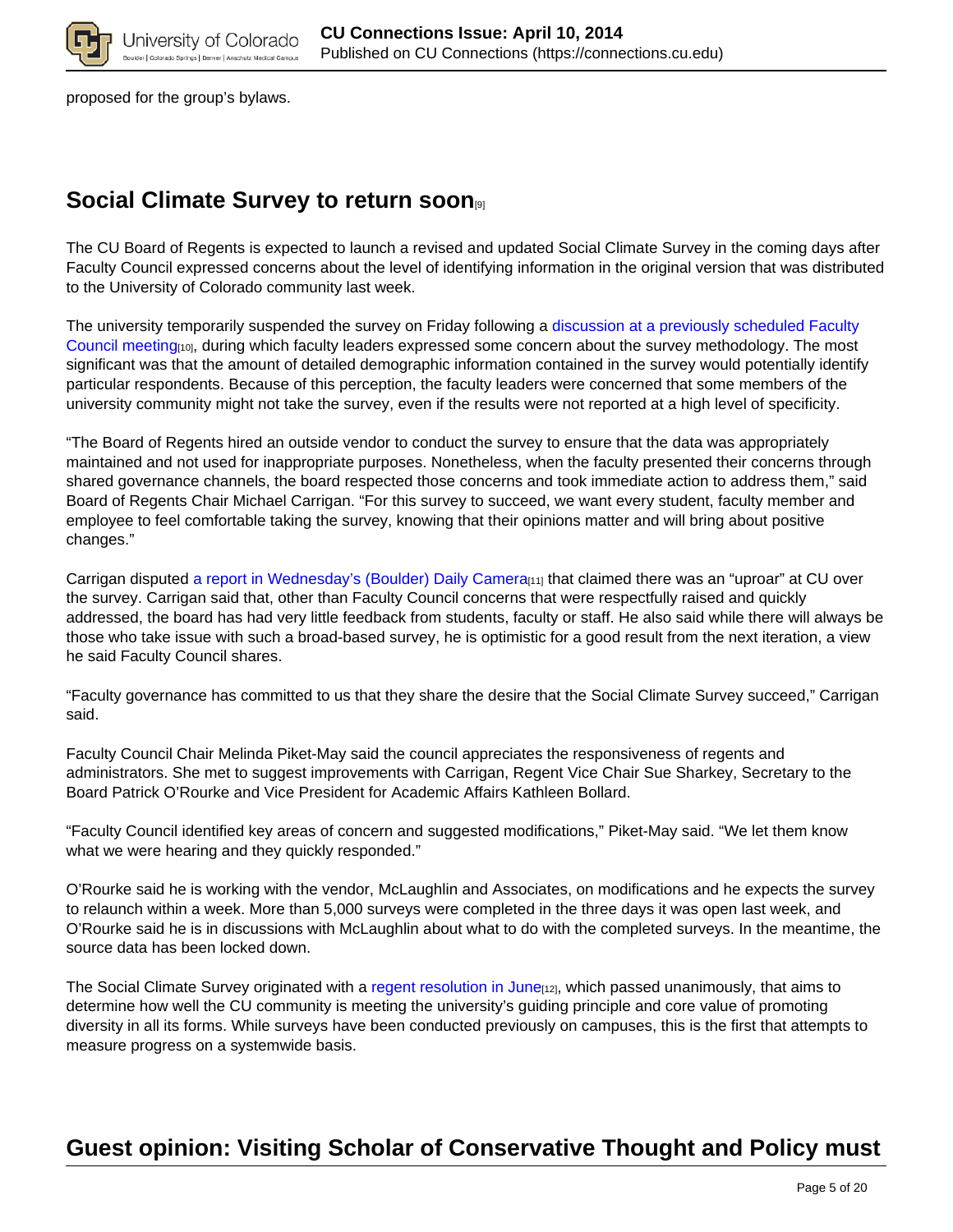

proposed for the group's bylaws.

## **Social Climate Survey to return soon**[9]

The CU Board of Regents is expected to launch a revised and updated Social Climate Survey in the coming days after Faculty Council expressed concerns about the level of identifying information in the original version that was distributed to the University of Colorado community last week.

The university temporarily suspended the survey on Friday following a discussion at a previously scheduled Faculty Council meeting[10], during which faculty leaders expressed some concern about the survey methodology. The most significant was that the amount of detailed demographic information contained in the survey would potentially identify particular respondents. Because of this perception, the faculty leaders were concerned that some members of the university community might not take the survey, even if the results were not reported at a high level of specificity.

"The Board of Regents hired an outside vendor to conduct the survey to ensure that the data was appropriately maintained and not used for inappropriate purposes. Nonetheless, when the faculty presented their concerns through shared governance channels, the board respected those concerns and took immediate action to address them," said Board of Regents Chair Michael Carrigan. "For this survey to succeed, we want every student, faculty member and employee to feel comfortable taking the survey, knowing that their opinions matter and will bring about positive changes."

Carrigan disputed a report in Wednesday's (Boulder) Daily Camera<sub>[11]</sub> that claimed there was an "uproar" at CU over the survey. Carrigan said that, other than Faculty Council concerns that were respectfully raised and quickly addressed, the board has had very little feedback from students, faculty or staff. He also said while there will always be those who take issue with such a broad-based survey, he is optimistic for a good result from the next iteration, a view he said Faculty Council shares.

"Faculty governance has committed to us that they share the desire that the Social Climate Survey succeed," Carrigan said.

Faculty Council Chair Melinda Piket-May said the council appreciates the responsiveness of regents and administrators. She met to suggest improvements with Carrigan, Regent Vice Chair Sue Sharkey, Secretary to the Board Patrick O'Rourke and Vice President for Academic Affairs Kathleen Bollard.

"Faculty Council identified key areas of concern and suggested modifications," Piket-May said. "We let them know what we were hearing and they quickly responded."

O'Rourke said he is working with the vendor, McLaughlin and Associates, on modifications and he expects the survey to relaunch within a week. More than 5,000 surveys were completed in the three days it was open last week, and O'Rourke said he is in discussions with McLaughlin about what to do with the completed surveys. In the meantime, the source data has been locked down.

The Social Climate Survey originated with a regent resolution in June<sub>[12]</sub>, which passed unanimously, that aims to determine how well the CU community is meeting the university's guiding principle and core value of promoting diversity in all its forms. While surveys have been conducted previously on campuses, this is the first that attempts to measure progress on a systemwide basis.

# **Guest opinion: Visiting Scholar of Conservative Thought and Policy must**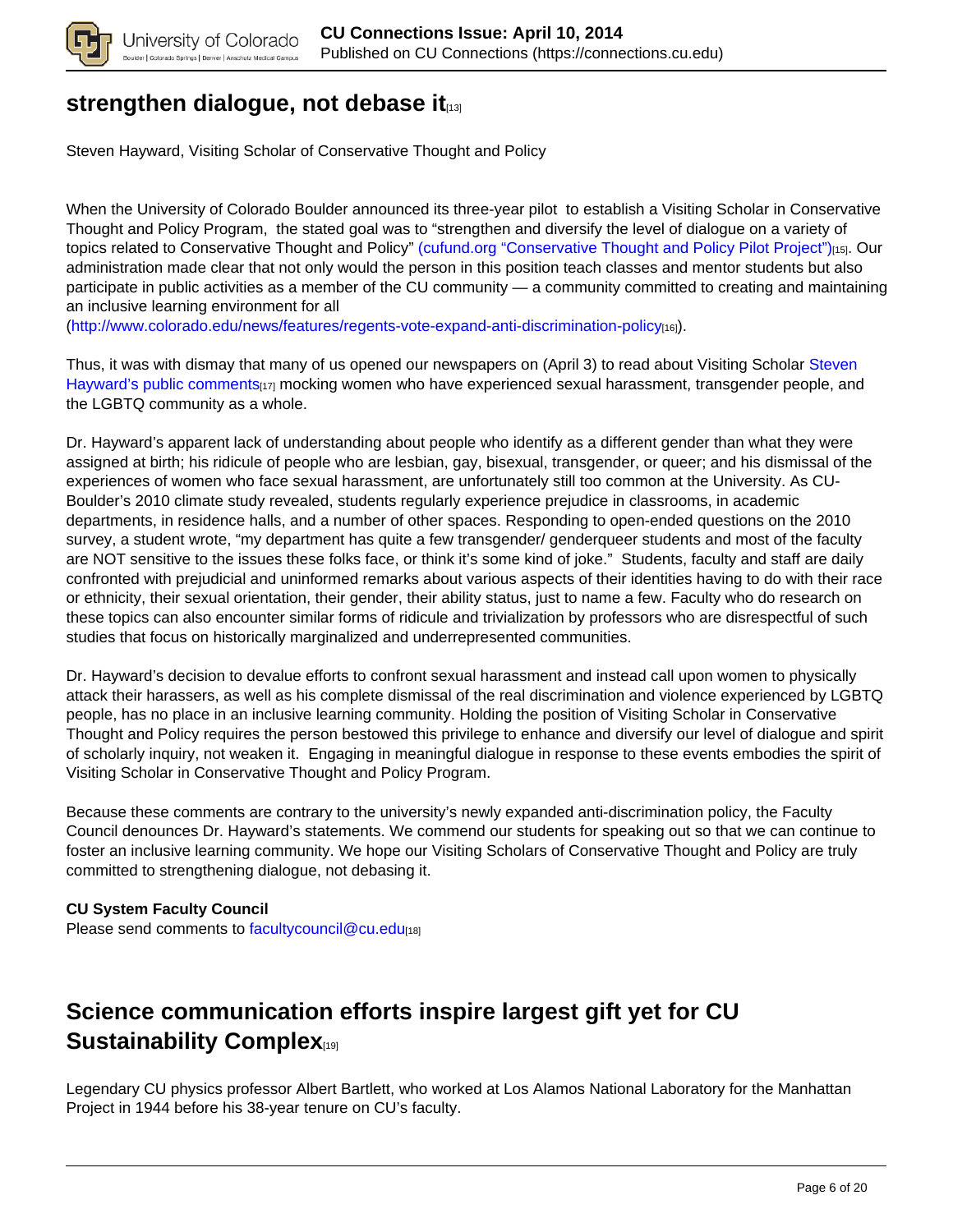

## **strengthen dialogue, not debase it**

Steven Hayward, Visiting Scholar of Conservative Thought and Policy

When the University of Colorado Boulder announced its three-year pilot to establish a Visiting Scholar in Conservative Thought and Policy Program, the stated goal was to "strengthen and diversify the level of dialogue on a variety of topics related to Conservative Thought and Policy" (cufund.org "Conservative Thought and Policy Pilot Project")[15]. Our administration made clear that not only would the person in this position teach classes and mentor students but also participate in public activities as a member of the CU community — a community committed to creating and maintaining an inclusive learning environment for all

(http://www.colorado.edu/news/features/regents-vote-expand-anti-discrimination-policy[16]).

Thus, it was with dismay that many of us opened our newspapers on (April 3) to read about Visiting Scholar Steven Hayward's public comments<sub>[17]</sub> mocking women who have experienced sexual harassment, transgender people, and the LGBTQ community as a whole.

Dr. Hayward's apparent lack of understanding about people who identify as a different gender than what they were assigned at birth; his ridicule of people who are lesbian, gay, bisexual, transgender, or queer; and his dismissal of the experiences of women who face sexual harassment, are unfortunately still too common at the University. As CU-Boulder's 2010 climate study revealed, students regularly experience prejudice in classrooms, in academic departments, in residence halls, and a number of other spaces. Responding to open-ended questions on the 2010 survey, a student wrote, "my department has quite a few transgender/ genderqueer students and most of the faculty are NOT sensitive to the issues these folks face, or think it's some kind of joke." Students, faculty and staff are daily confronted with prejudicial and uninformed remarks about various aspects of their identities having to do with their race or ethnicity, their sexual orientation, their gender, their ability status, just to name a few. Faculty who do research on these topics can also encounter similar forms of ridicule and trivialization by professors who are disrespectful of such studies that focus on historically marginalized and underrepresented communities.

Dr. Hayward's decision to devalue efforts to confront sexual harassment and instead call upon women to physically attack their harassers, as well as his complete dismissal of the real discrimination and violence experienced by LGBTQ people, has no place in an inclusive learning community. Holding the position of Visiting Scholar in Conservative Thought and Policy requires the person bestowed this privilege to enhance and diversify our level of dialogue and spirit of scholarly inquiry, not weaken it. Engaging in meaningful dialogue in response to these events embodies the spirit of Visiting Scholar in Conservative Thought and Policy Program.

Because these comments are contrary to the university's newly expanded anti-discrimination policy, the Faculty Council denounces Dr. Hayward's statements. We commend our students for speaking out so that we can continue to foster an inclusive learning community. We hope our Visiting Scholars of Conservative Thought and Policy are truly committed to strengthening dialogue, not debasing it.

### **CU System Faculty Council**

Please send comments to facultycouncil@cu.edu[18]

## **Science communication efforts inspire largest gift yet for CU Sustainability Complex**

Legendary CU physics professor Albert Bartlett, who worked at Los Alamos National Laboratory for the Manhattan Project in 1944 before his 38-year tenure on CU's faculty.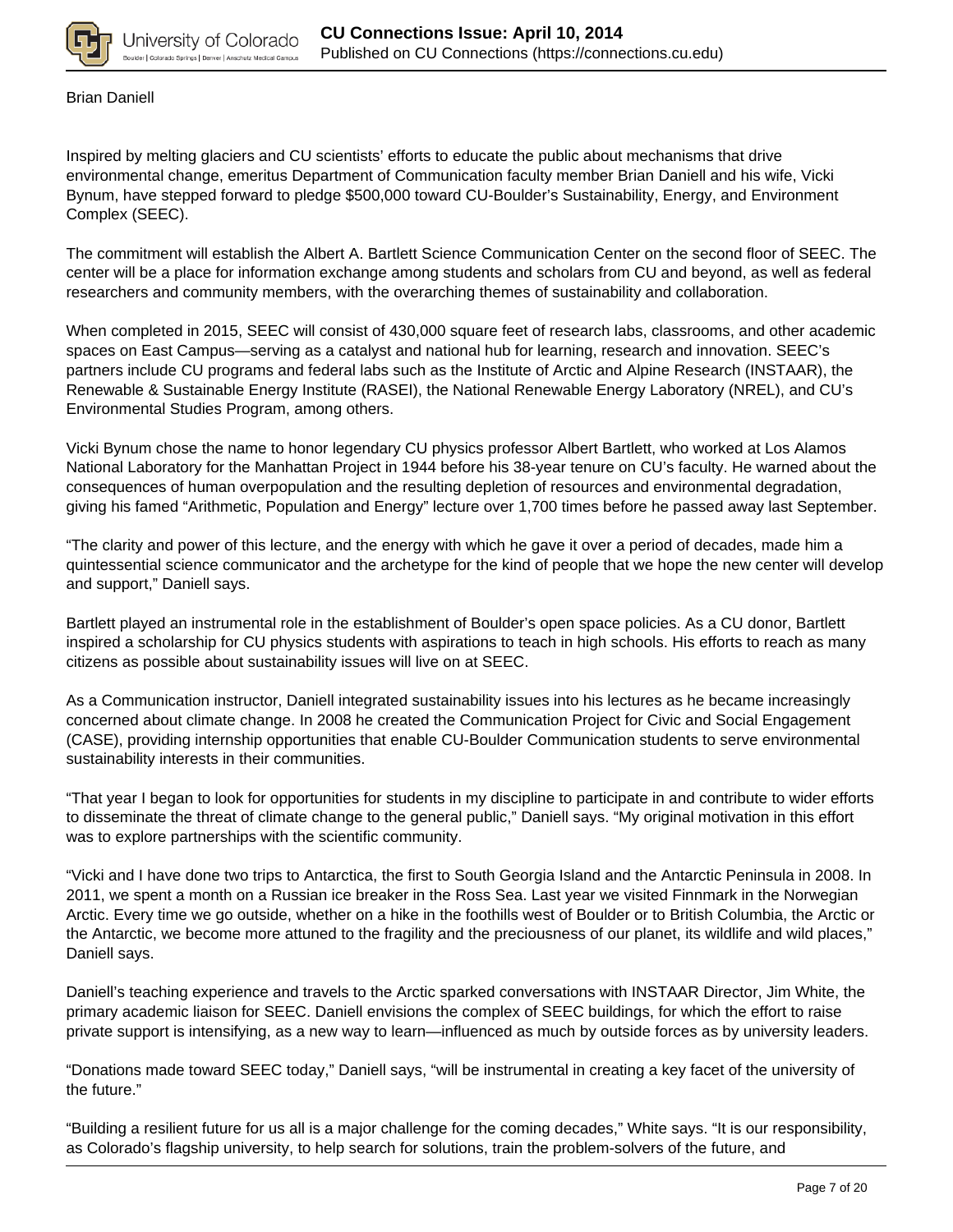

Brian Daniell

Inspired by melting glaciers and CU scientists' efforts to educate the public about mechanisms that drive environmental change, emeritus Department of Communication faculty member Brian Daniell and his wife, Vicki Bynum, have stepped forward to pledge \$500,000 toward CU-Boulder's Sustainability, Energy, and Environment Complex (SEEC).

The commitment will establish the Albert A. Bartlett Science Communication Center on the second floor of SEEC. The center will be a place for information exchange among students and scholars from CU and beyond, as well as federal researchers and community members, with the overarching themes of sustainability and collaboration.

When completed in 2015, SEEC will consist of 430,000 square feet of research labs, classrooms, and other academic spaces on East Campus—serving as a catalyst and national hub for learning, research and innovation. SEEC's partners include CU programs and federal labs such as the Institute of Arctic and Alpine Research (INSTAAR), the Renewable & Sustainable Energy Institute (RASEI), the National Renewable Energy Laboratory (NREL), and CU's Environmental Studies Program, among others.

Vicki Bynum chose the name to honor legendary CU physics professor Albert Bartlett, who worked at Los Alamos National Laboratory for the Manhattan Project in 1944 before his 38-year tenure on CU's faculty. He warned about the consequences of human overpopulation and the resulting depletion of resources and environmental degradation, giving his famed "Arithmetic, Population and Energy" lecture over 1,700 times before he passed away last September.

"The clarity and power of this lecture, and the energy with which he gave it over a period of decades, made him a quintessential science communicator and the archetype for the kind of people that we hope the new center will develop and support," Daniell says.

Bartlett played an instrumental role in the establishment of Boulder's open space policies. As a CU donor, Bartlett inspired a scholarship for CU physics students with aspirations to teach in high schools. His efforts to reach as many citizens as possible about sustainability issues will live on at SEEC.

As a Communication instructor, Daniell integrated sustainability issues into his lectures as he became increasingly concerned about climate change. In 2008 he created the Communication Project for Civic and Social Engagement (CASE), providing internship opportunities that enable CU-Boulder Communication students to serve environmental sustainability interests in their communities.

"That year I began to look for opportunities for students in my discipline to participate in and contribute to wider efforts to disseminate the threat of climate change to the general public," Daniell says. "My original motivation in this effort was to explore partnerships with the scientific community.

"Vicki and I have done two trips to Antarctica, the first to South Georgia Island and the Antarctic Peninsula in 2008. In 2011, we spent a month on a Russian ice breaker in the Ross Sea. Last year we visited Finnmark in the Norwegian Arctic. Every time we go outside, whether on a hike in the foothills west of Boulder or to British Columbia, the Arctic or the Antarctic, we become more attuned to the fragility and the preciousness of our planet, its wildlife and wild places," Daniell says.

Daniell's teaching experience and travels to the Arctic sparked conversations with INSTAAR Director, Jim White, the primary academic liaison for SEEC. Daniell envisions the complex of SEEC buildings, for which the effort to raise private support is intensifying, as a new way to learn—influenced as much by outside forces as by university leaders.

"Donations made toward SEEC today," Daniell says, "will be instrumental in creating a key facet of the university of the future."

"Building a resilient future for us all is a major challenge for the coming decades," White says. "It is our responsibility, as Colorado's flagship university, to help search for solutions, train the problem-solvers of the future, and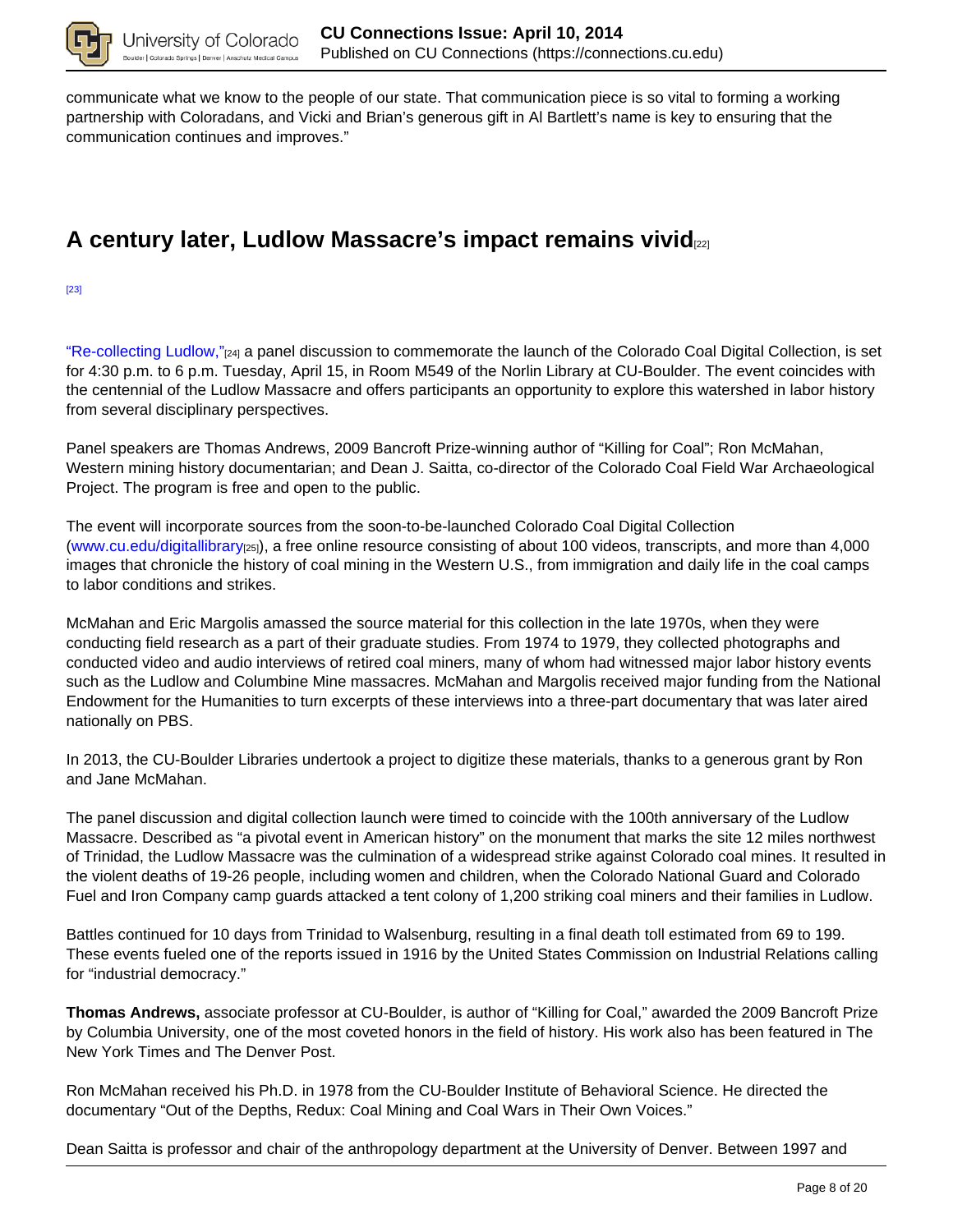

communicate what we know to the people of our state. That communication piece is so vital to forming a working partnership with Coloradans, and Vicki and Brian's generous gift in Al Bartlett's name is key to ensuring that the communication continues and improves."

## **A century later, Ludlow Massacre's impact remains vivid**[22]

[23]

"Re-collecting Ludlow,"[24] a panel discussion to commemorate the launch of the Colorado Coal Digital Collection, is set for 4:30 p.m. to 6 p.m. Tuesday, April 15, in Room M549 of the Norlin Library at CU-Boulder. The event coincides with the centennial of the Ludlow Massacre and offers participants an opportunity to explore this watershed in labor history from several disciplinary perspectives.

Panel speakers are Thomas Andrews, 2009 Bancroft Prize-winning author of "Killing for Coal"; Ron McMahan, Western mining history documentarian; and Dean J. Saitta, co-director of the Colorado Coal Field War Archaeological Project. The program is free and open to the public.

The event will incorporate sources from the soon-to-be-launched Colorado Coal Digital Collection (www.cu.edu/digitallibrary[25]), a free online resource consisting of about 100 videos, transcripts, and more than 4,000 images that chronicle the history of coal mining in the Western U.S., from immigration and daily life in the coal camps to labor conditions and strikes.

McMahan and Eric Margolis amassed the source material for this collection in the late 1970s, when they were conducting field research as a part of their graduate studies. From 1974 to 1979, they collected photographs and conducted video and audio interviews of retired coal miners, many of whom had witnessed major labor history events such as the Ludlow and Columbine Mine massacres. McMahan and Margolis received major funding from the National Endowment for the Humanities to turn excerpts of these interviews into a three-part documentary that was later aired nationally on PBS.

In 2013, the CU-Boulder Libraries undertook a project to digitize these materials, thanks to a generous grant by Ron and Jane McMahan.

The panel discussion and digital collection launch were timed to coincide with the 100th anniversary of the Ludlow Massacre. Described as "a pivotal event in American history" on the monument that marks the site 12 miles northwest of Trinidad, the Ludlow Massacre was the culmination of a widespread strike against Colorado coal mines. It resulted in the violent deaths of 19-26 people, including women and children, when the Colorado National Guard and Colorado Fuel and Iron Company camp guards attacked a tent colony of 1,200 striking coal miners and their families in Ludlow.

Battles continued for 10 days from Trinidad to Walsenburg, resulting in a final death toll estimated from 69 to 199. These events fueled one of the reports issued in 1916 by the United States Commission on Industrial Relations calling for "industrial democracy."

**Thomas Andrews,** associate professor at CU-Boulder, is author of "Killing for Coal," awarded the 2009 Bancroft Prize by Columbia University, one of the most coveted honors in the field of history. His work also has been featured in The New York Times and The Denver Post.

Ron McMahan received his Ph.D. in 1978 from the CU-Boulder Institute of Behavioral Science. He directed the documentary "Out of the Depths, Redux: Coal Mining and Coal Wars in Their Own Voices."

Dean Saitta is professor and chair of the anthropology department at the University of Denver. Between 1997 and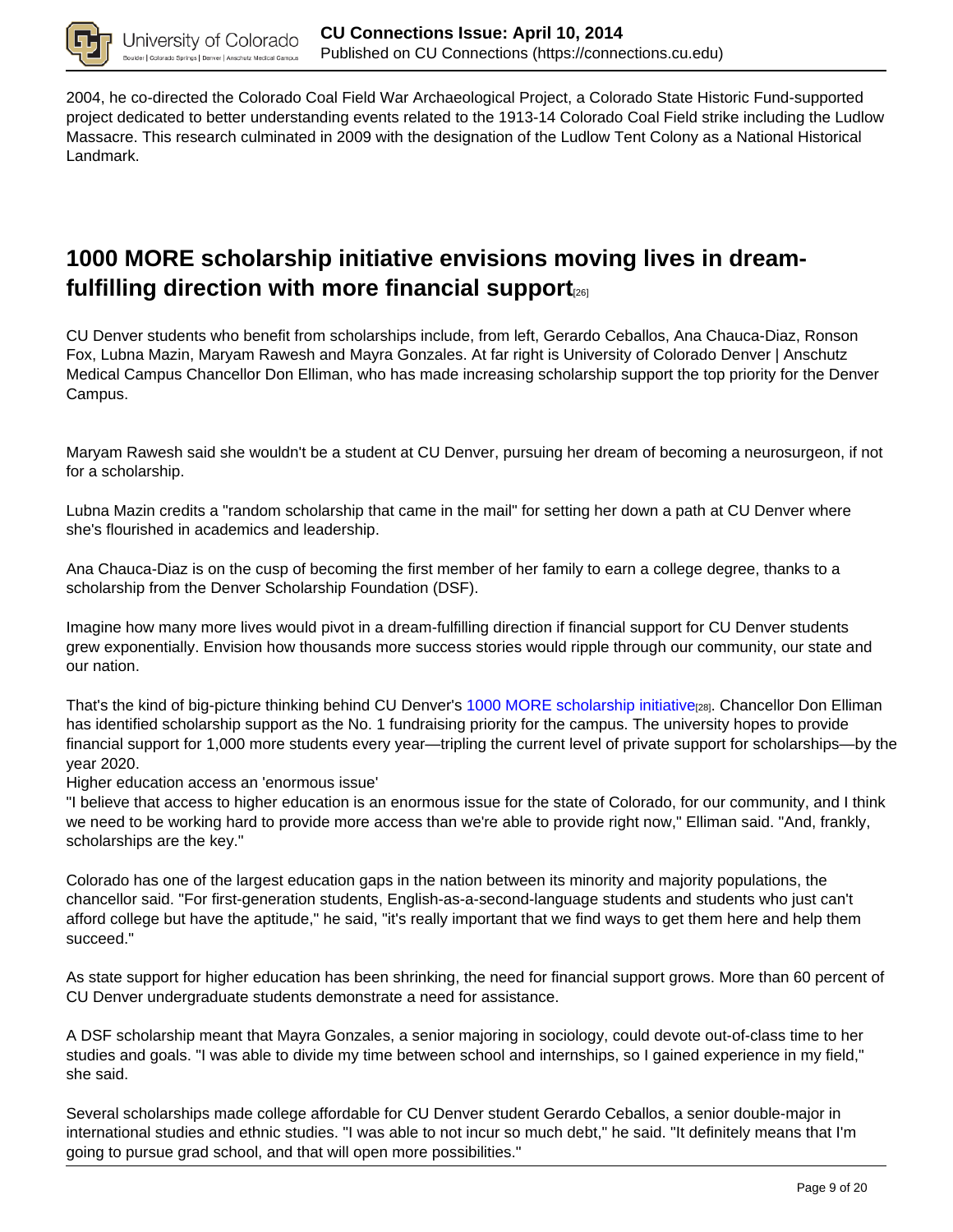

2004, he co-directed the Colorado Coal Field War Archaeological Project, a Colorado State Historic Fund-supported project dedicated to better understanding events related to the 1913-14 Colorado Coal Field strike including the Ludlow Massacre. This research culminated in 2009 with the designation of the Ludlow Tent Colony as a National Historical Landmark.

## **1000 MORE scholarship initiative envisions moving lives in dreamfulfilling direction with more financial support**[26]

CU Denver students who benefit from scholarships include, from left, Gerardo Ceballos, Ana Chauca-Diaz, Ronson Fox, Lubna Mazin, Maryam Rawesh and Mayra Gonzales. At far right is University of Colorado Denver | Anschutz Medical Campus Chancellor Don Elliman, who has made increasing scholarship support the top priority for the Denver Campus.

Maryam Rawesh said she wouldn't be a student at CU Denver, pursuing her dream of becoming a neurosurgeon, if not for a scholarship.

Lubna Mazin credits a "random scholarship that came in the mail" for setting her down a path at CU Denver where she's flourished in academics and leadership.

Ana Chauca-Diaz is on the cusp of becoming the first member of her family to earn a college degree, thanks to a scholarship from the Denver Scholarship Foundation (DSF).

Imagine how many more lives would pivot in a dream-fulfilling direction if financial support for CU Denver students grew exponentially. Envision how thousands more success stories would ripple through our community, our state and our nation.

That's the kind of big-picture thinking behind CU Denver's 1000 MORE scholarship initiative<sub>[28]</sub>. Chancellor Don Elliman has identified scholarship support as the No. 1 fundraising priority for the campus. The university hopes to provide financial support for 1,000 more students every year—tripling the current level of private support for scholarships—by the year 2020.

Higher education access an 'enormous issue'

"I believe that access to higher education is an enormous issue for the state of Colorado, for our community, and I think we need to be working hard to provide more access than we're able to provide right now," Elliman said. "And, frankly, scholarships are the key."

Colorado has one of the largest education gaps in the nation between its minority and majority populations, the chancellor said. "For first-generation students, English-as-a-second-language students and students who just can't afford college but have the aptitude," he said, "it's really important that we find ways to get them here and help them succeed."

As state support for higher education has been shrinking, the need for financial support grows. More than 60 percent of CU Denver undergraduate students demonstrate a need for assistance.

A DSF scholarship meant that Mayra Gonzales, a senior majoring in sociology, could devote out-of-class time to her studies and goals. "I was able to divide my time between school and internships, so I gained experience in my field," she said.

Several scholarships made college affordable for CU Denver student Gerardo Ceballos, a senior double-major in international studies and ethnic studies. "I was able to not incur so much debt," he said. "It definitely means that I'm going to pursue grad school, and that will open more possibilities."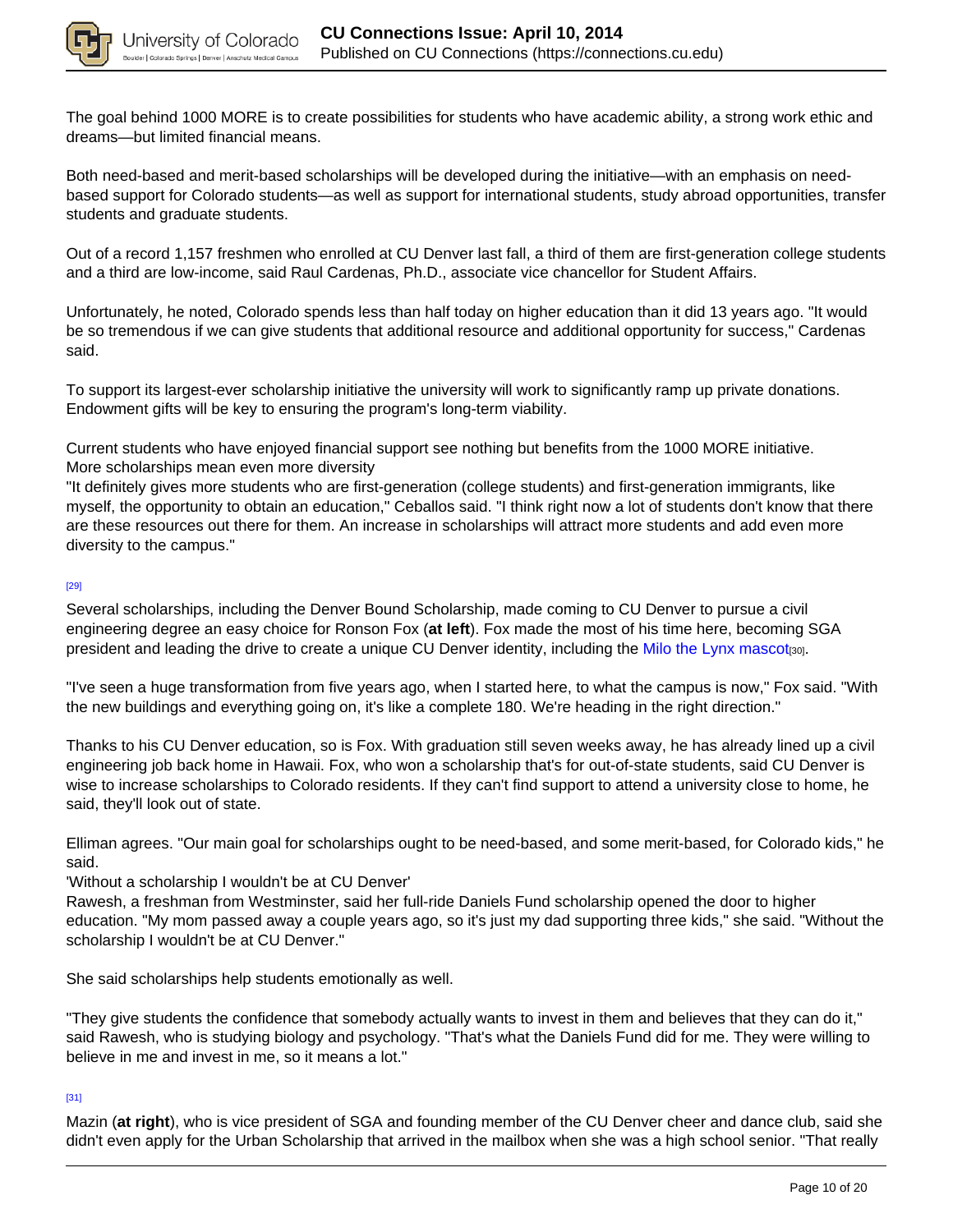

The goal behind 1000 MORE is to create possibilities for students who have academic ability, a strong work ethic and dreams—but limited financial means.

Both need-based and merit-based scholarships will be developed during the initiative—with an emphasis on needbased support for Colorado students—as well as support for international students, study abroad opportunities, transfer students and graduate students.

Out of a record 1,157 freshmen who enrolled at CU Denver last fall, a third of them are first-generation college students and a third are low-income, said Raul Cardenas, Ph.D., associate vice chancellor for Student Affairs.

Unfortunately, he noted, Colorado spends less than half today on higher education than it did 13 years ago. "It would be so tremendous if we can give students that additional resource and additional opportunity for success," Cardenas said.

To support its largest-ever scholarship initiative the university will work to significantly ramp up private donations. Endowment gifts will be key to ensuring the program's long-term viability.

Current students who have enjoyed financial support see nothing but benefits from the 1000 MORE initiative. More scholarships mean even more diversity

"It definitely gives more students who are first-generation (college students) and first-generation immigrants, like myself, the opportunity to obtain an education," Ceballos said. "I think right now a lot of students don't know that there are these resources out there for them. An increase in scholarships will attract more students and add even more diversity to the campus."

### [29]

Several scholarships, including the Denver Bound Scholarship, made coming to CU Denver to pursue a civil engineering degree an easy choice for Ronson Fox (**at left**). Fox made the most of his time here, becoming SGA president and leading the drive to create a unique CU Denver identity, including the Milo the Lynx mascot<sub>[30]</sub>.

"I've seen a huge transformation from five years ago, when I started here, to what the campus is now," Fox said. "With the new buildings and everything going on, it's like a complete 180. We're heading in the right direction."

Thanks to his CU Denver education, so is Fox. With graduation still seven weeks away, he has already lined up a civil engineering job back home in Hawaii. Fox, who won a scholarship that's for out-of-state students, said CU Denver is wise to increase scholarships to Colorado residents. If they can't find support to attend a university close to home, he said, they'll look out of state.

Elliman agrees. "Our main goal for scholarships ought to be need-based, and some merit-based, for Colorado kids," he said.

'Without a scholarship I wouldn't be at CU Denver'

Rawesh, a freshman from Westminster, said her full-ride Daniels Fund scholarship opened the door to higher education. "My mom passed away a couple years ago, so it's just my dad supporting three kids," she said. "Without the scholarship I wouldn't be at CU Denver."

She said scholarships help students emotionally as well.

"They give students the confidence that somebody actually wants to invest in them and believes that they can do it," said Rawesh, who is studying biology and psychology. "That's what the Daniels Fund did for me. They were willing to believe in me and invest in me, so it means a lot."

### [31]

Mazin (**at right**), who is vice president of SGA and founding member of the CU Denver cheer and dance club, said she didn't even apply for the Urban Scholarship that arrived in the mailbox when she was a high school senior. "That really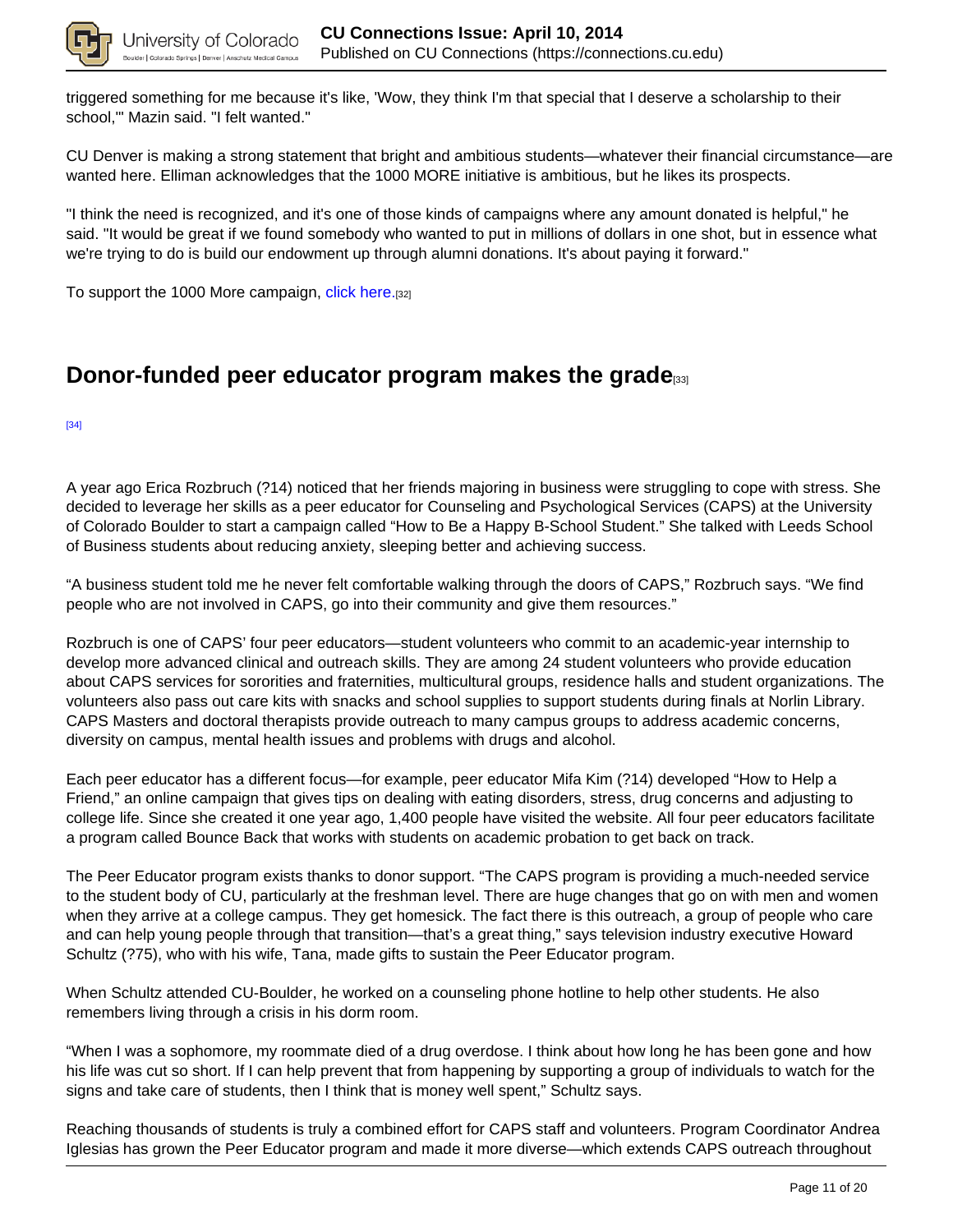

triggered something for me because it's like, 'Wow, they think I'm that special that I deserve a scholarship to their school,'" Mazin said. "I felt wanted."

CU Denver is making a strong statement that bright and ambitious students—whatever their financial circumstance—are wanted here. Elliman acknowledges that the 1000 MORE initiative is ambitious, but he likes its prospects.

"I think the need is recognized, and it's one of those kinds of campaigns where any amount donated is helpful," he said. "It would be great if we found somebody who wanted to put in millions of dollars in one shot, but in essence what we're trying to do is build our endowment up through alumni donations. It's about paying it forward."

To support the 1000 More campaign, click here.[32]

## **Donor-funded peer educator program makes the grade**[33]

[34]

A year ago Erica Rozbruch (?14) noticed that her friends majoring in business were struggling to cope with stress. She decided to leverage her skills as a peer educator for Counseling and Psychological Services (CAPS) at the University of Colorado Boulder to start a campaign called "How to Be a Happy B-School Student." She talked with Leeds School of Business students about reducing anxiety, sleeping better and achieving success.

"A business student told me he never felt comfortable walking through the doors of CAPS," Rozbruch says. "We find people who are not involved in CAPS, go into their community and give them resources."

Rozbruch is one of CAPS' four peer educators—student volunteers who commit to an academic-year internship to develop more advanced clinical and outreach skills. They are among 24 student volunteers who provide education about CAPS services for sororities and fraternities, multicultural groups, residence halls and student organizations. The volunteers also pass out care kits with snacks and school supplies to support students during finals at Norlin Library. CAPS Masters and doctoral therapists provide outreach to many campus groups to address academic concerns, diversity on campus, mental health issues and problems with drugs and alcohol.

Each peer educator has a different focus—for example, peer educator Mifa Kim (?14) developed "How to Help a Friend," an online campaign that gives tips on dealing with eating disorders, stress, drug concerns and adjusting to college life. Since she created it one year ago, 1,400 people have visited the website. All four peer educators facilitate a program called Bounce Back that works with students on academic probation to get back on track.

The Peer Educator program exists thanks to donor support. "The CAPS program is providing a much-needed service to the student body of CU, particularly at the freshman level. There are huge changes that go on with men and women when they arrive at a college campus. They get homesick. The fact there is this outreach, a group of people who care and can help young people through that transition—that's a great thing," says television industry executive Howard Schultz (?75), who with his wife, Tana, made gifts to sustain the Peer Educator program.

When Schultz attended CU-Boulder, he worked on a counseling phone hotline to help other students. He also remembers living through a crisis in his dorm room.

"When I was a sophomore, my roommate died of a drug overdose. I think about how long he has been gone and how his life was cut so short. If I can help prevent that from happening by supporting a group of individuals to watch for the signs and take care of students, then I think that is money well spent," Schultz says.

Reaching thousands of students is truly a combined effort for CAPS staff and volunteers. Program Coordinator Andrea Iglesias has grown the Peer Educator program and made it more diverse—which extends CAPS outreach throughout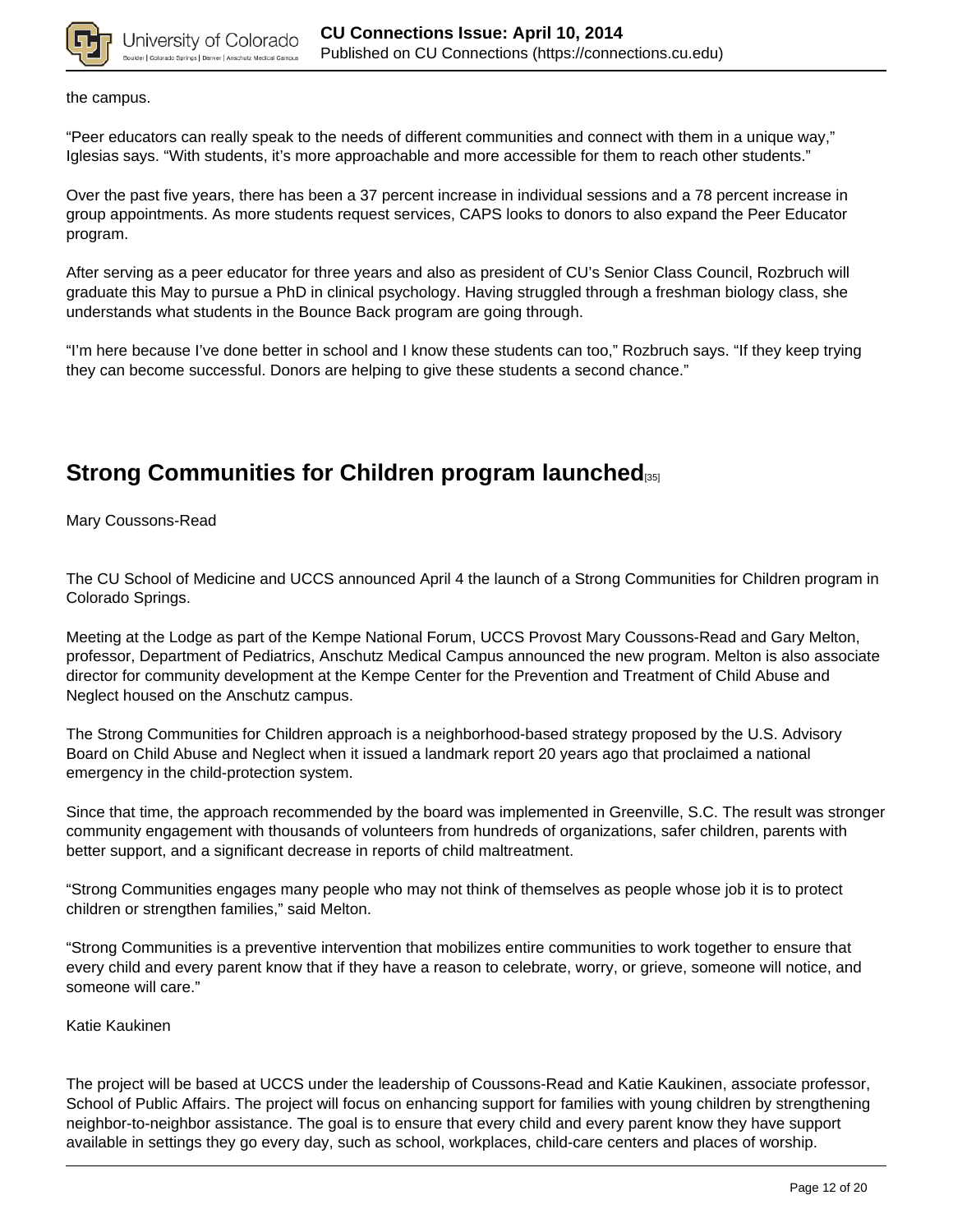

the campus.

"Peer educators can really speak to the needs of different communities and connect with them in a unique way," Iglesias says. "With students, it's more approachable and more accessible for them to reach other students."

Over the past five years, there has been a 37 percent increase in individual sessions and a 78 percent increase in group appointments. As more students request services, CAPS looks to donors to also expand the Peer Educator program.

After serving as a peer educator for three years and also as president of CU's Senior Class Council, Rozbruch will graduate this May to pursue a PhD in clinical psychology. Having struggled through a freshman biology class, she understands what students in the Bounce Back program are going through.

"I'm here because I've done better in school and I know these students can too," Rozbruch says. "If they keep trying they can become successful. Donors are helping to give these students a second chance."

## **Strong Communities for Children program launched**[35]

Mary Coussons-Read

The CU School of Medicine and UCCS announced April 4 the launch of a Strong Communities for Children program in Colorado Springs.

Meeting at the Lodge as part of the Kempe National Forum, UCCS Provost Mary Coussons-Read and Gary Melton, professor, Department of Pediatrics, Anschutz Medical Campus announced the new program. Melton is also associate director for community development at the Kempe Center for the Prevention and Treatment of Child Abuse and Neglect housed on the Anschutz campus.

The Strong Communities for Children approach is a neighborhood-based strategy proposed by the U.S. Advisory Board on Child Abuse and Neglect when it issued a landmark report 20 years ago that proclaimed a national emergency in the child-protection system.

Since that time, the approach recommended by the board was implemented in Greenville, S.C. The result was stronger community engagement with thousands of volunteers from hundreds of organizations, safer children, parents with better support, and a significant decrease in reports of child maltreatment.

"Strong Communities engages many people who may not think of themselves as people whose job it is to protect children or strengthen families," said Melton.

"Strong Communities is a preventive intervention that mobilizes entire communities to work together to ensure that every child and every parent know that if they have a reason to celebrate, worry, or grieve, someone will notice, and someone will care."

Katie Kaukinen

The project will be based at UCCS under the leadership of Coussons-Read and Katie Kaukinen, associate professor, School of Public Affairs. The project will focus on enhancing support for families with young children by strengthening neighbor-to-neighbor assistance. The goal is to ensure that every child and every parent know they have support available in settings they go every day, such as school, workplaces, child-care centers and places of worship.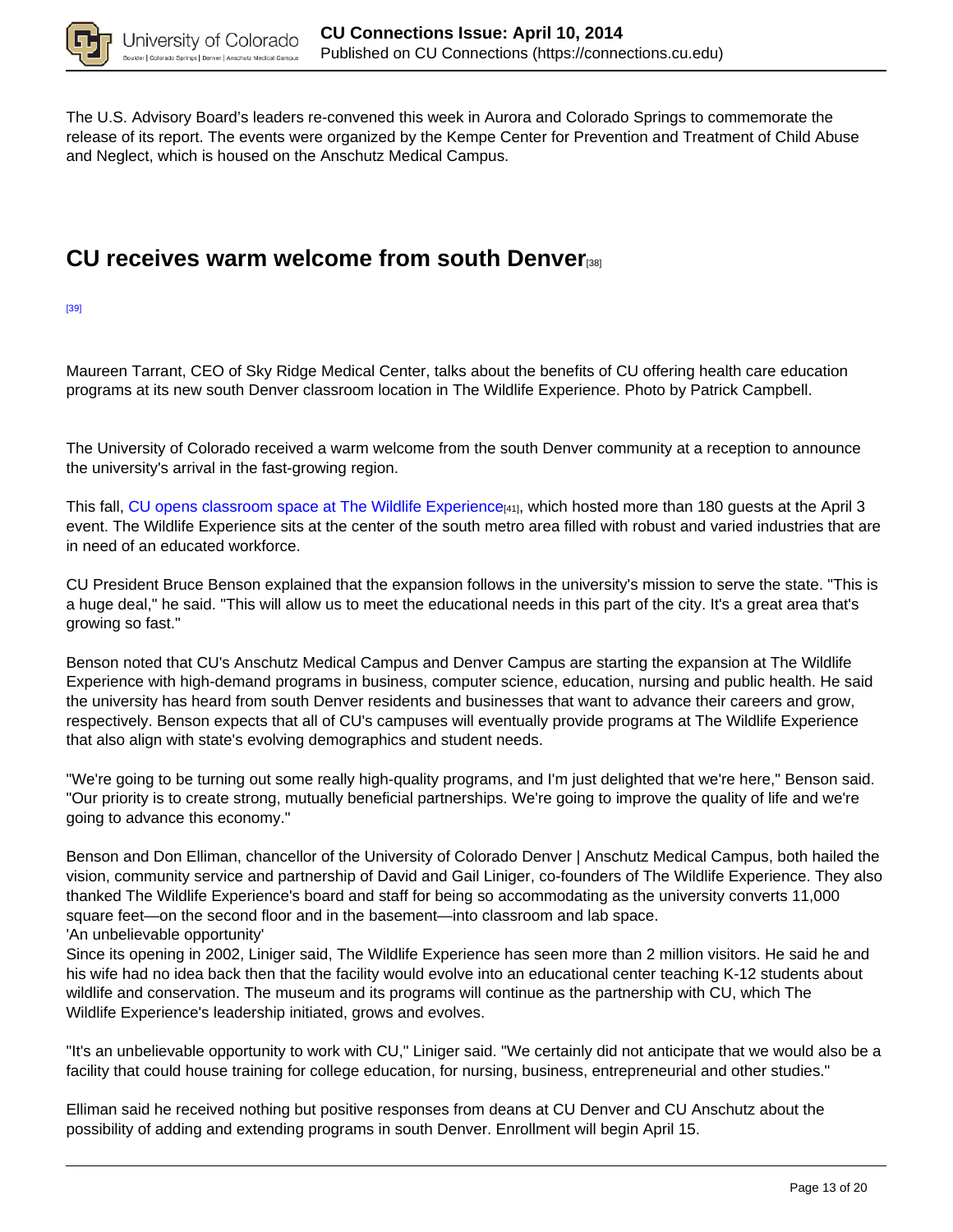

The U.S. Advisory Board's leaders re-convened this week in Aurora and Colorado Springs to commemorate the release of its report. The events were organized by the Kempe Center for Prevention and Treatment of Child Abuse and Neglect, which is housed on the Anschutz Medical Campus.

## **CU receives warm welcome from south Denver**[38]

[39]

Maureen Tarrant, CEO of Sky Ridge Medical Center, talks about the benefits of CU offering health care education programs at its new south Denver classroom location in The Wildlife Experience. Photo by Patrick Campbell.

The University of Colorado received a warm welcome from the south Denver community at a reception to announce the university's arrival in the fast-growing region.

This fall, CU opens classroom space at The Wildlife Experience<sub>[41]</sub>, which hosted more than 180 guests at the April 3 event. The Wildlife Experience sits at the center of the south metro area filled with robust and varied industries that are in need of an educated workforce.

CU President Bruce Benson explained that the expansion follows in the university's mission to serve the state. "This is a huge deal," he said. "This will allow us to meet the educational needs in this part of the city. It's a great area that's growing so fast."

Benson noted that CU's Anschutz Medical Campus and Denver Campus are starting the expansion at The Wildlife Experience with high-demand programs in business, computer science, education, nursing and public health. He said the university has heard from south Denver residents and businesses that want to advance their careers and grow, respectively. Benson expects that all of CU's campuses will eventually provide programs at The Wildlife Experience that also align with state's evolving demographics and student needs.

"We're going to be turning out some really high-quality programs, and I'm just delighted that we're here," Benson said. "Our priority is to create strong, mutually beneficial partnerships. We're going to improve the quality of life and we're going to advance this economy."

Benson and Don Elliman, chancellor of the University of Colorado Denver | Anschutz Medical Campus, both hailed the vision, community service and partnership of David and Gail Liniger, co-founders of The Wildlife Experience. They also thanked The Wildlife Experience's board and staff for being so accommodating as the university converts 11,000 square feet—on the second floor and in the basement—into classroom and lab space. 'An unbelievable opportunity'

Since its opening in 2002, Liniger said, The Wildlife Experience has seen more than 2 million visitors. He said he and his wife had no idea back then that the facility would evolve into an educational center teaching K-12 students about wildlife and conservation. The museum and its programs will continue as the partnership with CU, which The Wildlife Experience's leadership initiated, grows and evolves.

"It's an unbelievable opportunity to work with CU," Liniger said. "We certainly did not anticipate that we would also be a facility that could house training for college education, for nursing, business, entrepreneurial and other studies."

Elliman said he received nothing but positive responses from deans at CU Denver and CU Anschutz about the possibility of adding and extending programs in south Denver. Enrollment will begin April 15.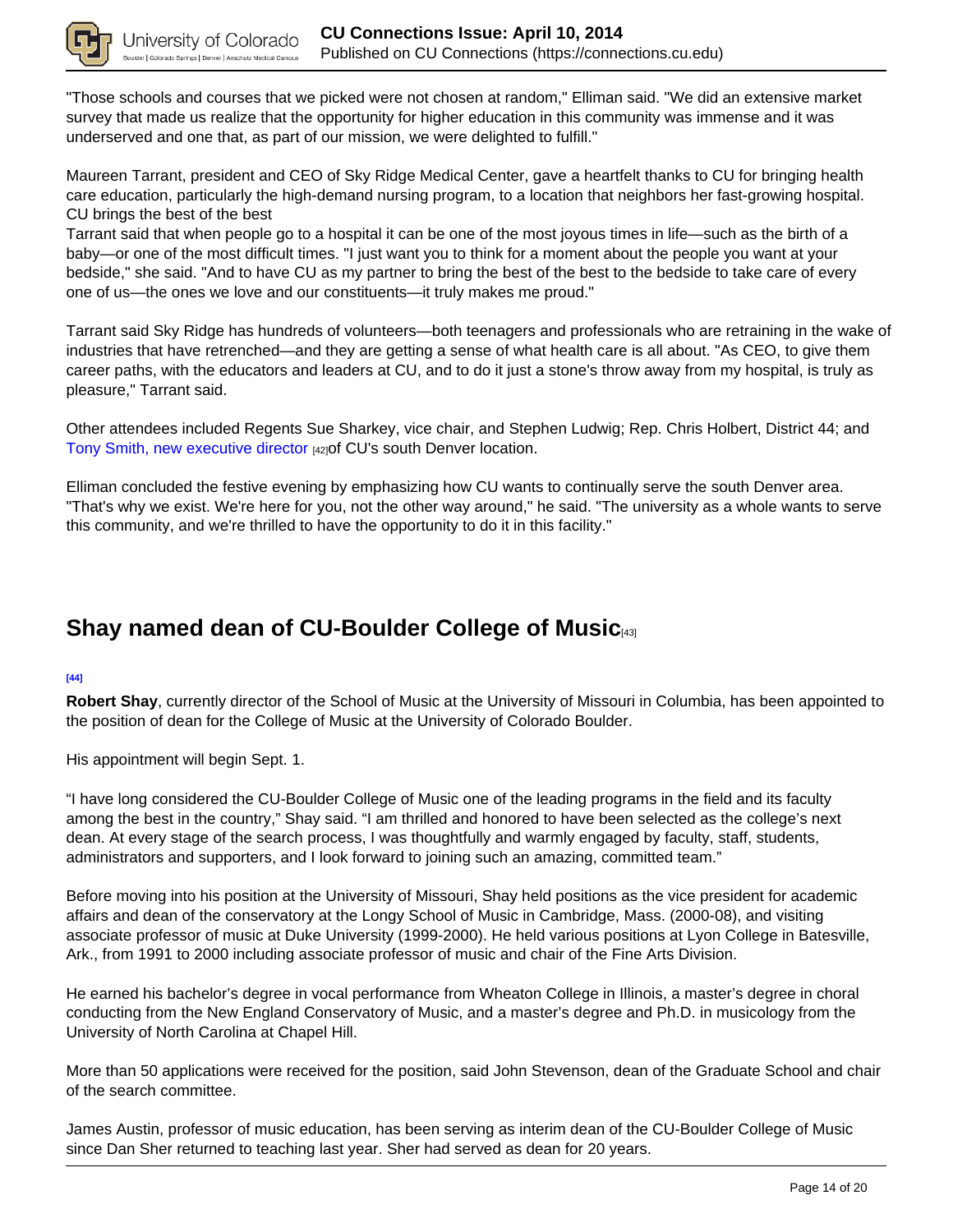

"Those schools and courses that we picked were not chosen at random," Elliman said. "We did an extensive market survey that made us realize that the opportunity for higher education in this community was immense and it was underserved and one that, as part of our mission, we were delighted to fulfill."

Maureen Tarrant, president and CEO of Sky Ridge Medical Center, gave a heartfelt thanks to CU for bringing health care education, particularly the high-demand nursing program, to a location that neighbors her fast-growing hospital. CU brings the best of the best

Tarrant said that when people go to a hospital it can be one of the most joyous times in life—such as the birth of a baby—or one of the most difficult times. "I just want you to think for a moment about the people you want at your bedside," she said. "And to have CU as my partner to bring the best of the best to the bedside to take care of every one of us—the ones we love and our constituents—it truly makes me proud."

Tarrant said Sky Ridge has hundreds of volunteers—both teenagers and professionals who are retraining in the wake of industries that have retrenched—and they are getting a sense of what health care is all about. "As CEO, to give them career paths, with the educators and leaders at CU, and to do it just a stone's throw away from my hospital, is truly as pleasure," Tarrant said.

Other attendees included Regents Sue Sharkey, vice chair, and Stephen Ludwig; Rep. Chris Holbert, District 44; and Tony Smith, new executive director [42]of CU's south Denver location.

Elliman concluded the festive evening by emphasizing how CU wants to continually serve the south Denver area. "That's why we exist. We're here for you, not the other way around," he said. "The university as a whole wants to serve this community, and we're thrilled to have the opportunity to do it in this facility."

## **Shay named dean of CU-Boulder College of Music**[43]

### **[44]**

**Robert Shay**, currently director of the School of Music at the University of Missouri in Columbia, has been appointed to the position of dean for the College of Music at the University of Colorado Boulder.

His appointment will begin Sept. 1.

"I have long considered the CU-Boulder College of Music one of the leading programs in the field and its faculty among the best in the country," Shay said. "I am thrilled and honored to have been selected as the college's next dean. At every stage of the search process, I was thoughtfully and warmly engaged by faculty, staff, students, administrators and supporters, and I look forward to joining such an amazing, committed team."

Before moving into his position at the University of Missouri, Shay held positions as the vice president for academic affairs and dean of the conservatory at the Longy School of Music in Cambridge, Mass. (2000-08), and visiting associate professor of music at Duke University (1999-2000). He held various positions at Lyon College in Batesville, Ark., from 1991 to 2000 including associate professor of music and chair of the Fine Arts Division.

He earned his bachelor's degree in vocal performance from Wheaton College in Illinois, a master's degree in choral conducting from the New England Conservatory of Music, and a master's degree and Ph.D. in musicology from the University of North Carolina at Chapel Hill.

More than 50 applications were received for the position, said John Stevenson, dean of the Graduate School and chair of the search committee.

James Austin, professor of music education, has been serving as interim dean of the CU-Boulder College of Music since Dan Sher returned to teaching last year. Sher had served as dean for 20 years.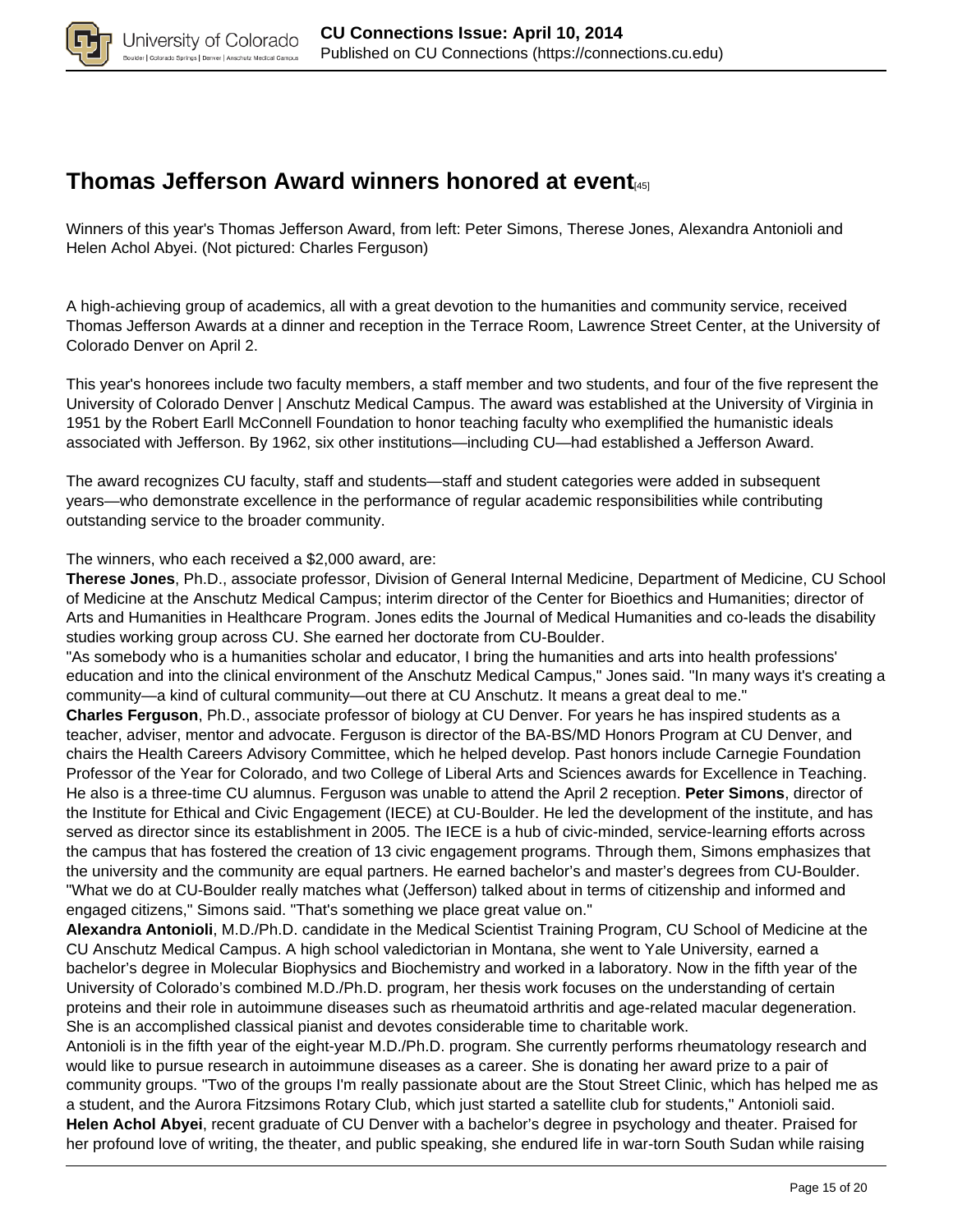

## **Thomas Jefferson Award winners honored at event**[45]

Winners of this year's Thomas Jefferson Award, from left: Peter Simons, Therese Jones, Alexandra Antonioli and Helen Achol Abyei. (Not pictured: Charles Ferguson)

A high-achieving group of academics, all with a great devotion to the humanities and community service, received Thomas Jefferson Awards at a dinner and reception in the Terrace Room, Lawrence Street Center, at the University of Colorado Denver on April 2.

This year's honorees include two faculty members, a staff member and two students, and four of the five represent the University of Colorado Denver | Anschutz Medical Campus. The award was established at the University of Virginia in 1951 by the Robert Earll McConnell Foundation to honor teaching faculty who exemplified the humanistic ideals associated with Jefferson. By 1962, six other institutions—including CU—had established a Jefferson Award.

The award recognizes CU faculty, staff and students—staff and student categories were added in subsequent years—who demonstrate excellence in the performance of regular academic responsibilities while contributing outstanding service to the broader community.

The winners, who each received a \$2,000 award, are:

**Therese Jones**, Ph.D., associate professor, Division of General Internal Medicine, Department of Medicine, CU School of Medicine at the Anschutz Medical Campus; interim director of the Center for Bioethics and Humanities; director of Arts and Humanities in Healthcare Program. Jones edits the Journal of Medical Humanities and co-leads the disability studies working group across CU. She earned her doctorate from CU-Boulder.

"As somebody who is a humanities scholar and educator, I bring the humanities and arts into health professions' education and into the clinical environment of the Anschutz Medical Campus," Jones said. "In many ways it's creating a community—a kind of cultural community—out there at CU Anschutz. It means a great deal to me."

**Charles Ferguson**, Ph.D., associate professor of biology at CU Denver. For years he has inspired students as a teacher, adviser, mentor and advocate. Ferguson is director of the BA-BS/MD Honors Program at CU Denver, and chairs the Health Careers Advisory Committee, which he helped develop. Past honors include Carnegie Foundation Professor of the Year for Colorado, and two College of Liberal Arts and Sciences awards for Excellence in Teaching. He also is a three-time CU alumnus. Ferguson was unable to attend the April 2 reception. **Peter Simons**, director of the Institute for Ethical and Civic Engagement (IECE) at CU-Boulder. He led the development of the institute, and has served as director since its establishment in 2005. The IECE is a hub of civic-minded, service-learning efforts across the campus that has fostered the creation of 13 civic engagement programs. Through them, Simons emphasizes that the university and the community are equal partners. He earned bachelor's and master's degrees from CU-Boulder. "What we do at CU-Boulder really matches what (Jefferson) talked about in terms of citizenship and informed and engaged citizens," Simons said. "That's something we place great value on."

**Alexandra Antonioli**, M.D./Ph.D. candidate in the Medical Scientist Training Program, CU School of Medicine at the CU Anschutz Medical Campus. A high school valedictorian in Montana, she went to Yale University, earned a bachelor's degree in Molecular Biophysics and Biochemistry and worked in a laboratory. Now in the fifth year of the University of Colorado's combined M.D./Ph.D. program, her thesis work focuses on the understanding of certain proteins and their role in autoimmune diseases such as rheumatoid arthritis and age-related macular degeneration. She is an accomplished classical pianist and devotes considerable time to charitable work.

Antonioli is in the fifth year of the eight-year M.D./Ph.D. program. She currently performs rheumatology research and would like to pursue research in autoimmune diseases as a career. She is donating her award prize to a pair of community groups. "Two of the groups I'm really passionate about are the Stout Street Clinic, which has helped me as a student, and the Aurora Fitzsimons Rotary Club, which just started a satellite club for students," Antonioli said. **Helen Achol Abyei**, recent graduate of CU Denver with a bachelor's degree in psychology and theater. Praised for her profound love of writing, the theater, and public speaking, she endured life in war-torn South Sudan while raising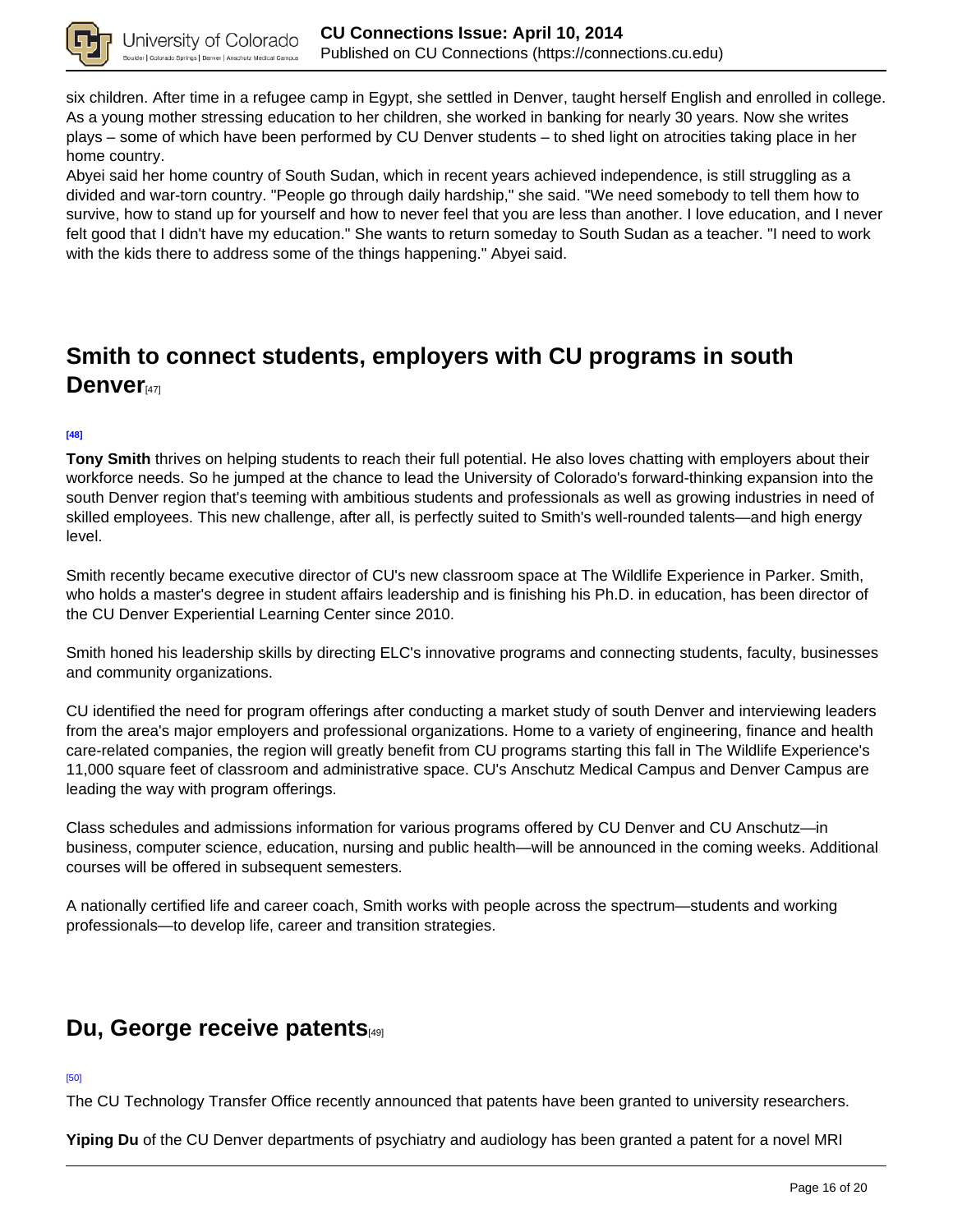

six children. After time in a refugee camp in Egypt, she settled in Denver, taught herself English and enrolled in college. As a young mother stressing education to her children, she worked in banking for nearly 30 years. Now she writes plays – some of which have been performed by CU Denver students – to shed light on atrocities taking place in her home country.

Abyei said her home country of South Sudan, which in recent years achieved independence, is still struggling as a divided and war-torn country. "People go through daily hardship," she said. "We need somebody to tell them how to survive, how to stand up for yourself and how to never feel that you are less than another. I love education, and I never felt good that I didn't have my education." She wants to return someday to South Sudan as a teacher. "I need to work with the kids there to address some of the things happening." Abyei said.

# **Smith to connect students, employers with CU programs in south Denver**<sup>[47]</sup>

### **[48]**

**Tony Smith** thrives on helping students to reach their full potential. He also loves chatting with employers about their workforce needs. So he jumped at the chance to lead the University of Colorado's forward-thinking expansion into the south Denver region that's teeming with ambitious students and professionals as well as growing industries in need of skilled employees. This new challenge, after all, is perfectly suited to Smith's well-rounded talents—and high energy level.

Smith recently became executive director of CU's new classroom space at The Wildlife Experience in Parker. Smith, who holds a master's degree in student affairs leadership and is finishing his Ph.D. in education, has been director of the CU Denver Experiential Learning Center since 2010.

Smith honed his leadership skills by directing ELC's innovative programs and connecting students, faculty, businesses and community organizations.

CU identified the need for program offerings after conducting a market study of south Denver and interviewing leaders from the area's major employers and professional organizations. Home to a variety of engineering, finance and health care-related companies, the region will greatly benefit from CU programs starting this fall in The Wildlife Experience's 11,000 square feet of classroom and administrative space. CU's Anschutz Medical Campus and Denver Campus are leading the way with program offerings.

Class schedules and admissions information for various programs offered by CU Denver and CU Anschutz—in business, computer science, education, nursing and public health—will be announced in the coming weeks. Additional courses will be offered in subsequent semesters.

A nationally certified life and career coach, Smith works with people across the spectrum—students and working professionals—to develop life, career and transition strategies.

### **Du, George receive patents**[49]

### [50]

The CU Technology Transfer Office recently announced that patents have been granted to university researchers.

**Yiping Du** of the CU Denver departments of psychiatry and audiology has been granted a patent for a novel MRI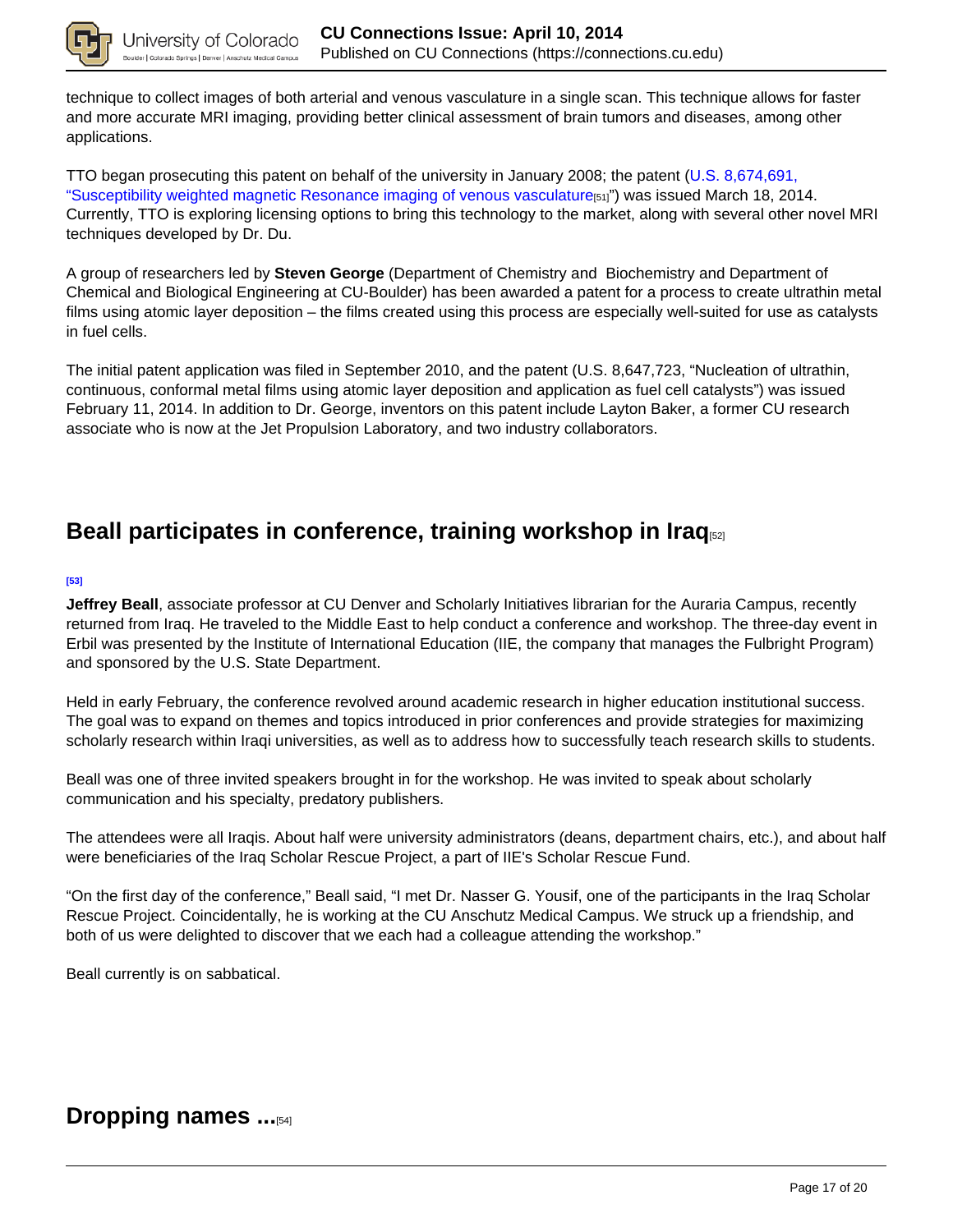

technique to collect images of both arterial and venous vasculature in a single scan. This technique allows for faster and more accurate MRI imaging, providing better clinical assessment of brain tumors and diseases, among other applications.

TTO began prosecuting this patent on behalf of the university in January 2008; the patent (U.S. 8,674,691, "Susceptibility weighted magnetic Resonance imaging of venous vasculature[51]") was issued March 18, 2014. Currently, TTO is exploring licensing options to bring this technology to the market, along with several other novel MRI techniques developed by Dr. Du.

A group of researchers led by **Steven George** (Department of Chemistry and Biochemistry and Department of Chemical and Biological Engineering at CU-Boulder) has been awarded a patent for a process to create ultrathin metal films using atomic layer deposition – the films created using this process are especially well-suited for use as catalysts in fuel cells.

The initial patent application was filed in September 2010, and the patent (U.S. 8,647,723, "Nucleation of ultrathin, continuous, conformal metal films using atomic layer deposition and application as fuel cell catalysts") was issued February 11, 2014. In addition to Dr. George, inventors on this patent include Layton Baker, a former CU research associate who is now at the Jet Propulsion Laboratory, and two industry collaborators.

## **Beall participates in conference, training workshop in Iraq**[52]

#### **[53]**

**Jeffrey Beall**, associate professor at CU Denver and Scholarly Initiatives librarian for the Auraria Campus, recently returned from Iraq. He traveled to the Middle East to help conduct a conference and workshop. The three-day event in Erbil was presented by the Institute of International Education (IIE, the company that manages the Fulbright Program) and sponsored by the U.S. State Department.

Held in early February, the conference revolved around academic research in higher education institutional success. The goal was to expand on themes and topics introduced in prior conferences and provide strategies for maximizing scholarly research within Iraqi universities, as well as to address how to successfully teach research skills to students.

Beall was one of three invited speakers brought in for the workshop. He was invited to speak about scholarly communication and his specialty, predatory publishers.

The attendees were all Iraqis. About half were university administrators (deans, department chairs, etc.), and about half were beneficiaries of the Iraq Scholar Rescue Project, a part of IIE's Scholar Rescue Fund.

"On the first day of the conference," Beall said, "I met Dr. Nasser G. Yousif, one of the participants in the Iraq Scholar Rescue Project. Coincidentally, he is working at the CU Anschutz Medical Campus. We struck up a friendship, and both of us were delighted to discover that we each had a colleague attending the workshop."

Beall currently is on sabbatical.

### **Dropping names ...**[54]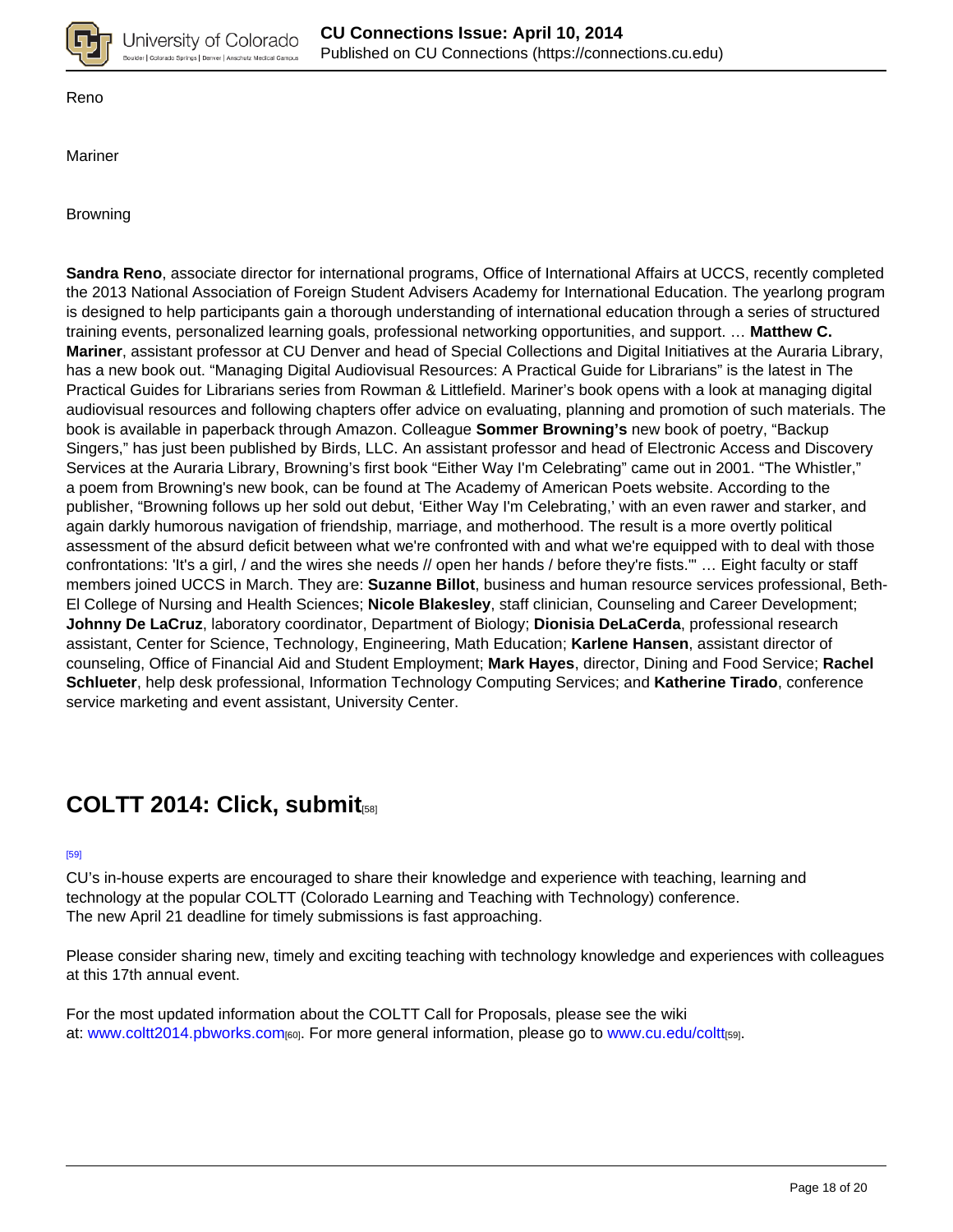

Reno

Mariner

Browning

**Sandra Reno**, associate director for international programs, Office of International Affairs at UCCS, recently completed the 2013 National Association of Foreign Student Advisers Academy for International Education. The yearlong program is designed to help participants gain a thorough understanding of international education through a series of structured training events, personalized learning goals, professional networking opportunities, and support. … **Matthew C. Mariner**, assistant professor at CU Denver and head of Special Collections and Digital Initiatives at the Auraria Library, has a new book out. "Managing Digital Audiovisual Resources: A Practical Guide for Librarians" is the latest in The Practical Guides for Librarians series from Rowman & Littlefield. Mariner's book opens with a look at managing digital audiovisual resources and following chapters offer advice on evaluating, planning and promotion of such materials. The book is available in paperback through Amazon. Colleague **Sommer Browning's** new book of poetry, "Backup Singers," has just been published by Birds, LLC. An assistant professor and head of Electronic Access and Discovery Services at the Auraria Library, Browning's first book "Either Way I'm Celebrating" came out in 2001. "The Whistler," a poem from Browning's new book, can be found at The Academy of American Poets website. According to the publisher, "Browning follows up her sold out debut, 'Either Way I'm Celebrating,' with an even rawer and starker, and again darkly humorous navigation of friendship, marriage, and motherhood. The result is a more overtly political assessment of the absurd deficit between what we're confronted with and what we're equipped with to deal with those confrontations: 'It's a girl, / and the wires she needs // open her hands / before they're fists.'" … Eight faculty or staff members joined UCCS in March. They are: **Suzanne Billot**, business and human resource services professional, Beth-El College of Nursing and Health Sciences; **Nicole Blakesley**, staff clinician, Counseling and Career Development; **Johnny De LaCruz**, laboratory coordinator, Department of Biology; **Dionisia DeLaCerda**, professional research assistant, Center for Science, Technology, Engineering, Math Education; **Karlene Hansen**, assistant director of counseling, Office of Financial Aid and Student Employment; **Mark Hayes**, director, Dining and Food Service; **Rachel Schlueter**, help desk professional, Information Technology Computing Services; and **Katherine Tirado**, conference service marketing and event assistant, University Center.

## **COLTT 2014: Click, submit**[58]

#### [59]

CU's in-house experts are encouraged to share their knowledge and experience with teaching, learning and technology at the popular COLTT (Colorado Learning and Teaching with Technology) conference. The new April 21 deadline for timely submissions is fast approaching.

Please consider sharing new, timely and exciting teaching with technology knowledge and experiences with colleagues at this 17th annual event.

For the most updated information about the COLTT Call for Proposals, please see the wiki at: www.coltt2014.pbworks.com[60]. For more general information, please go to www.cu.edu/coltt[59].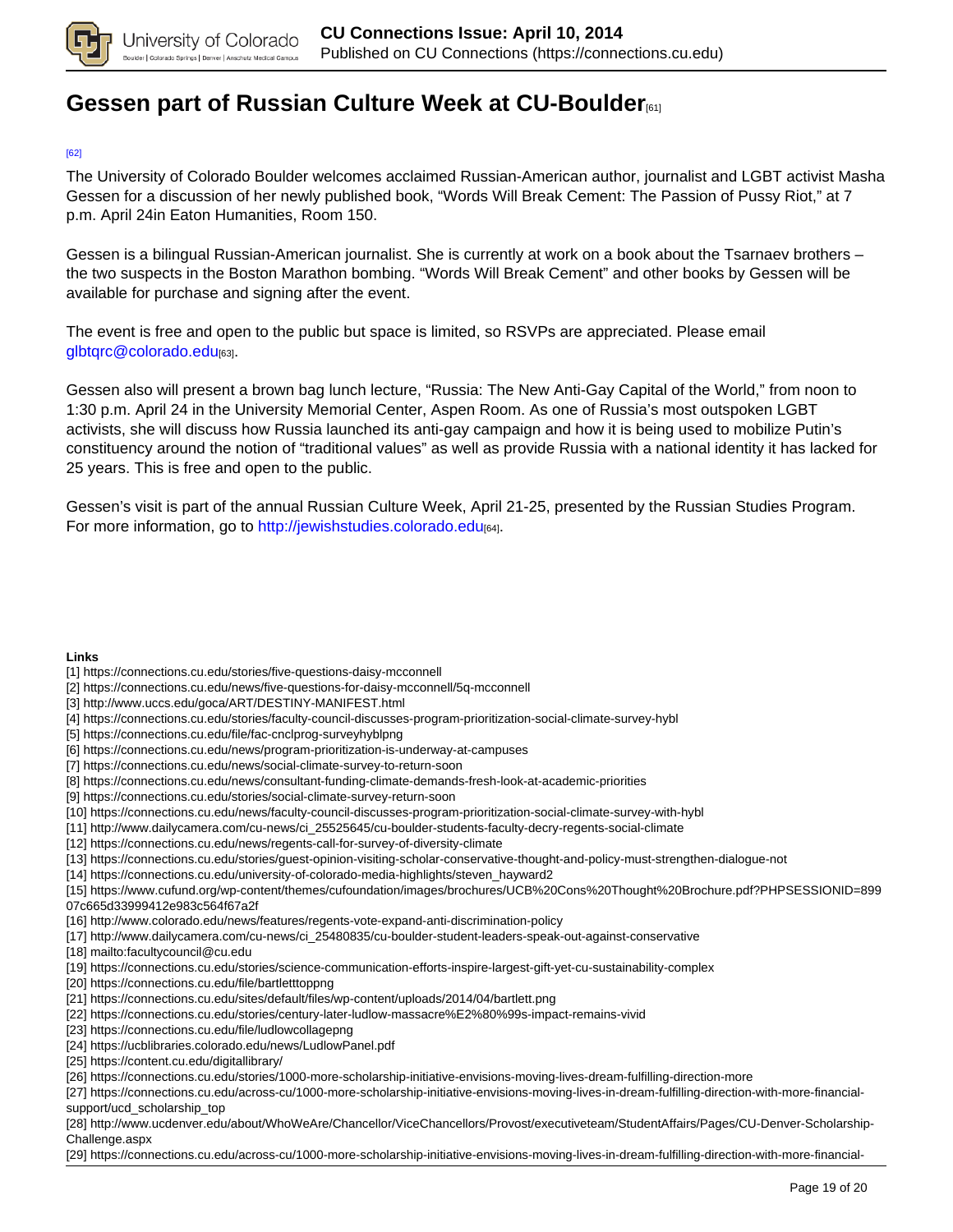

## **Gessen part of Russian Culture Week at CU-Boulder**[61]

### [62]

The University of Colorado Boulder welcomes acclaimed Russian-American author, journalist and LGBT activist Masha Gessen for a discussion of her newly published book, "Words Will Break Cement: The Passion of Pussy Riot," at 7 p.m. April 24in Eaton Humanities, Room 150.

Gessen is a bilingual Russian-American journalist. She is currently at work on a book about the Tsarnaev brothers – the two suspects in the Boston Marathon bombing. "Words Will Break Cement" and other books by Gessen will be available for purchase and signing after the event.

The event is free and open to the public but space is limited, so RSVPs are appreciated. Please email glbtqrc@colorado.edu[63].

Gessen also will present a brown bag lunch lecture, "Russia: The New Anti-Gay Capital of the World," from noon to 1:30 p.m. April 24 in the University Memorial Center, Aspen Room. As one of Russia's most outspoken LGBT activists, she will discuss how Russia launched its anti-gay campaign and how it is being used to mobilize Putin's constituency around the notion of "traditional values" as well as provide Russia with a national identity it has lacked for 25 years. This is free and open to the public.

Gessen's visit is part of the annual Russian Culture Week, April 21-25, presented by the Russian Studies Program. For more information, go to http://jewishstudies.colorado.edu<sup>[64]</sup>.

#### **Links**

- [1] https://connections.cu.edu/stories/five-questions-daisy-mcconnell
- [2] https://connections.cu.edu/news/five-questions-for-daisy-mcconnell/5q-mcconnell
- [3] http://www.uccs.edu/goca/ART/DESTINY-MANIFEST.html
- [4] https://connections.cu.edu/stories/faculty-council-discusses-program-prioritization-social-climate-survey-hybl
- [5] https://connections.cu.edu/file/fac-cnclprog-surveyhyblpng
- [6] https://connections.cu.edu/news/program-prioritization-is-underway-at-campuses
- [7] https://connections.cu.edu/news/social-climate-survey-to-return-soon
- [8] https://connections.cu.edu/news/consultant-funding-climate-demands-fresh-look-at-academic-priorities
- [9] https://connections.cu.edu/stories/social-climate-survey-return-soon
- [10] https://connections.cu.edu/news/faculty-council-discusses-program-prioritization-social-climate-survey-with-hybl
- [11] http://www.dailycamera.com/cu-news/ci\_25525645/cu-boulder-students-faculty-decry-regents-social-climate
- [12] https://connections.cu.edu/news/regents-call-for-survey-of-diversity-climate
- [13] https://connections.cu.edu/stories/guest-opinion-visiting-scholar-conservative-thought-and-policy-must-strengthen-dialogue-not
- [14] https://connections.cu.edu/university-of-colorado-media-highlights/steven\_hayward2

[15] https://www.cufund.org/wp-content/themes/cufoundation/images/brochures/UCB%20Cons%20Thought%20Brochure.pdf?PHPSESSIONID=899 07c665d33999412e983c564f67a2f

- [16] http://www.colorado.edu/news/features/regents-vote-expand-anti-discrimination-policy
- [17] http://www.dailycamera.com/cu-news/ci\_25480835/cu-boulder-student-leaders-speak-out-against-conservative
- [18] mailto:facultycouncil@cu.edu
- [19] https://connections.cu.edu/stories/science-communication-efforts-inspire-largest-gift-yet-cu-sustainability-complex
- [20] https://connections.cu.edu/file/bartletttoppng
- [21] https://connections.cu.edu/sites/default/files/wp-content/uploads/2014/04/bartlett.png
- [22] https://connections.cu.edu/stories/century-later-ludlow-massacre%E2%80%99s-impact-remains-vivid
- [23] https://connections.cu.edu/file/ludlowcollagepng
- [24] https://ucblibraries.colorado.edu/news/LudlowPanel.pdf
- [25] https://content.cu.edu/digitallibrary/
- [26] https://connections.cu.edu/stories/1000-more-scholarship-initiative-envisions-moving-lives-dream-fulfilling-direction-more
- [27] https://connections.cu.edu/across-cu/1000-more-scholarship-initiative-envisions-moving-lives-in-dream-fulfilling-direction-with-more-financialsupport/ucd\_scholarship\_top
- [28] http://www.ucdenver.edu/about/WhoWeAre/Chancellor/ViceChancellors/Provost/executiveteam/StudentAffairs/Pages/CU-Denver-Scholarship-Challenge.aspx
- [29] https://connections.cu.edu/across-cu/1000-more-scholarship-initiative-envisions-moving-lives-in-dream-fulfilling-direction-with-more-financial-